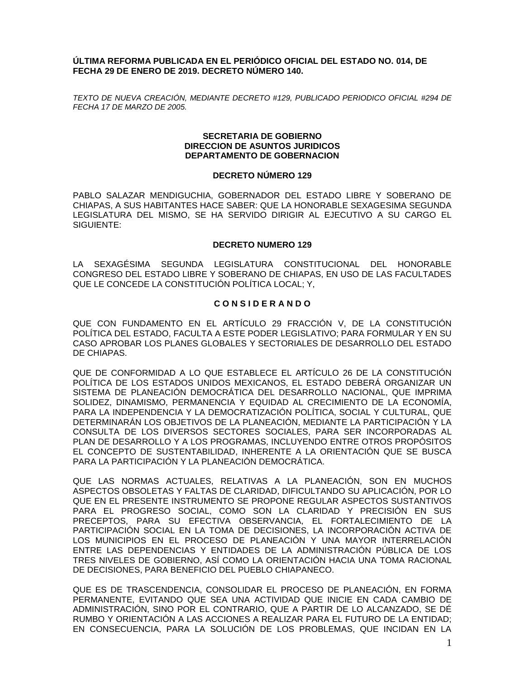# **ÚLTIMA REFORMA PUBLICADA EN EL PERIÓDICO OFICIAL DEL ESTADO NO. 014, DE FECHA 29 DE ENERO DE 2019. DECRETO NÚMERO 140.**

*TEXTO DE NUEVA CREACIÓN, MEDIANTE DECRETO #129, PUBLICADO PERIODICO OFICIAL #294 DE FECHA 17 DE MARZO DE 2005.*

### **SECRETARIA DE GOBIERNO DIRECCION DE ASUNTOS JURIDICOS DEPARTAMENTO DE GOBERNACION**

# **DECRETO NÚMERO 129**

PABLO SALAZAR MENDIGUCHIA, GOBERNADOR DEL ESTADO LIBRE Y SOBERANO DE CHIAPAS, A SUS HABITANTES HACE SABER: QUE LA HONORABLE SEXAGESIMA SEGUNDA LEGISLATURA DEL MISMO, SE HA SERVIDO DIRIGIR AL EJECUTIVO A SU CARGO EL SIGUIENTE:

### **DECRETO NUMERO 129**

LA SEXAGÉSIMA SEGUNDA LEGISLATURA CONSTITUCIONAL DEL HONORABLE CONGRESO DEL ESTADO LIBRE Y SOBERANO DE CHIAPAS, EN USO DE LAS FACULTADES QUE LE CONCEDE LA CONSTITUCIÓN POLÍTICA LOCAL; Y,

# **C O N S I D E R A N D O**

QUE CON FUNDAMENTO EN EL ARTÍCULO 29 FRACCIÓN V, DE LA CONSTITUCIÓN POLÍTICA DEL ESTADO, FACULTA A ESTE PODER LEGISLATIVO; PARA FORMULAR Y EN SU CASO APROBAR LOS PLANES GLOBALES Y SECTORIALES DE DESARROLLO DEL ESTADO DE CHIAPAS.

QUE DE CONFORMIDAD A LO QUE ESTABLECE EL ARTÍCULO 26 DE LA CONSTITUCIÓN POLÍTICA DE LOS ESTADOS UNIDOS MEXICANOS, EL ESTADO DEBERÁ ORGANIZAR UN SISTEMA DE PLANEACIÓN DEMOCRÁTICA DEL DESARROLLO NACIONAL, QUE IMPRIMA SOLIDEZ, DINAMISMO, PERMANENCIA Y EQUIDAD AL CRECIMIENTO DE LA ECONOMÍA, PARA LA INDEPENDENCIA Y LA DEMOCRATIZACIÓN POLÍTICA, SOCIAL Y CULTURAL, QUE DETERMINARÁN LOS OBJETIVOS DE LA PLANEACIÓN, MEDIANTE LA PARTICIPACIÓN Y LA CONSULTA DE LOS DIVERSOS SECTORES SOCIALES, PARA SER INCORPORADAS AL PLAN DE DESARROLLO Y A LOS PROGRAMAS, INCLUYENDO ENTRE OTROS PROPÓSITOS EL CONCEPTO DE SUSTENTABILIDAD, INHERENTE A LA ORIENTACIÓN QUE SE BUSCA PARA LA PARTICIPACIÓN Y LA PLANEACIÓN DEMOCRÁTICA.

QUE LAS NORMAS ACTUALES, RELATIVAS A LA PLANEACIÓN, SON EN MUCHOS ASPECTOS OBSOLETAS Y FALTAS DE CLARIDAD, DIFICULTANDO SU APLICACIÓN, POR LO QUE EN EL PRESENTE INSTRUMENTO SE PROPONE REGULAR ASPECTOS SUSTANTIVOS PARA EL PROGRESO SOCIAL, COMO SON LA CLARIDAD Y PRECISIÓN EN SUS PRECEPTOS, PARA SU EFECTIVA OBSERVANCIA, EL FORTALECIMIENTO DE LA PARTICIPACIÓN SOCIAL EN LA TOMA DE DECISIONES, LA INCORPORACIÓN ACTIVA DE LOS MUNICIPIOS EN EL PROCESO DE PLANEACIÓN Y UNA MAYOR INTERRELACIÓN ENTRE LAS DEPENDENCIAS Y ENTIDADES DE LA ADMINISTRACIÓN PÚBLICA DE LOS TRES NIVELES DE GOBIERNO, ASÍ COMO LA ORIENTACIÓN HACIA UNA TOMA RACIONAL DE DECISIONES, PARA BENEFICIO DEL PUEBLO CHIAPANECO.

QUE ES DE TRASCENDENCIA, CONSOLIDAR EL PROCESO DE PLANEACIÓN, EN FORMA PERMANENTE, EVITANDO QUE SEA UNA ACTIVIDAD QUE INICIE EN CADA CAMBIO DE ADMINISTRACIÓN, SINO POR EL CONTRARIO, QUE A PARTIR DE LO ALCANZADO, SE DÉ RUMBO Y ORIENTACIÓN A LAS ACCIONES A REALIZAR PARA EL FUTURO DE LA ENTIDAD; EN CONSECUENCIA, PARA LA SOLUCIÓN DE LOS PROBLEMAS, QUE INCIDAN EN LA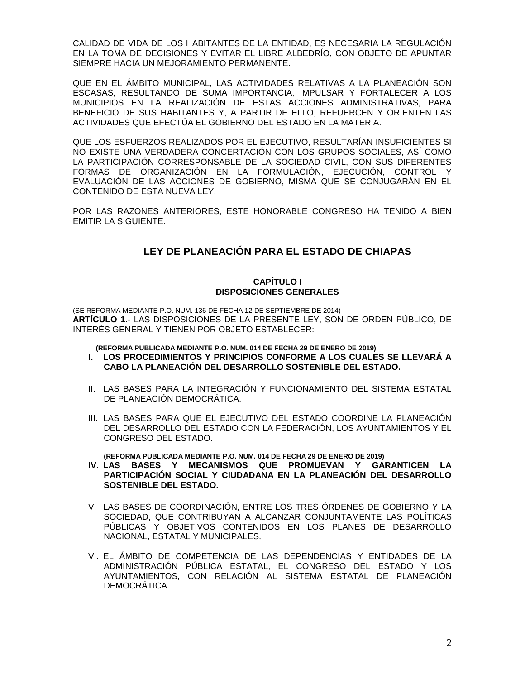CALIDAD DE VIDA DE LOS HABITANTES DE LA ENTIDAD, ES NECESARIA LA REGULACIÓN EN LA TOMA DE DECISIONES Y EVITAR EL LIBRE ALBEDRÍO, CON OBJETO DE APUNTAR SIEMPRE HACIA UN MEJORAMIENTO PERMANENTE.

QUE EN EL ÁMBITO MUNICIPAL, LAS ACTIVIDADES RELATIVAS A LA PLANEACIÓN SON ESCASAS, RESULTANDO DE SUMA IMPORTANCIA, IMPULSAR Y FORTALECER A LOS MUNICIPIOS EN LA REALIZACIÓN DE ESTAS ACCIONES ADMINISTRATIVAS, PARA BENEFICIO DE SUS HABITANTES Y, A PARTIR DE ELLO, REFUERCEN Y ORIENTEN LAS ACTIVIDADES QUE EFECTÚA EL GOBIERNO DEL ESTADO EN LA MATERIA.

QUE LOS ESFUERZOS REALIZADOS POR EL EJECUTIVO, RESULTARÍAN INSUFICIENTES SI NO EXISTE UNA VERDADERA CONCERTACIÓN CON LOS GRUPOS SOCIALES, ASÍ COMO LA PARTICIPACIÓN CORRESPONSABLE DE LA SOCIEDAD CIVIL, CON SUS DIFERENTES FORMAS DE ORGANIZACIÓN EN LA FORMULACIÓN, EJECUCIÓN, CONTROL Y EVALUACIÓN DE LAS ACCIONES DE GOBIERNO, MISMA QUE SE CONJUGARÁN EN EL CONTENIDO DE ESTA NUEVA LEY.

POR LAS RAZONES ANTERIORES, ESTE HONORABLE CONGRESO HA TENIDO A BIEN EMITIR LA SIGUIENTE:

# **LEY DE PLANEACIÓN PARA EL ESTADO DE CHIAPAS**

# **CAPÍTULO I DISPOSICIONES GENERALES**

(SE REFORMA MEDIANTE P.O. NUM. 136 DE FECHA 12 DE SEPTIEMBRE DE 2014) **ARTÍCULO 1.-** LAS DISPOSICIONES DE LA PRESENTE LEY, SON DE ORDEN PÚBLICO, DE INTERÉS GENERAL Y TIENEN POR OBJETO ESTABLECER:

 **(REFORMA PUBLICADA MEDIANTE P.O. NUM. 014 DE FECHA 29 DE ENERO DE 2019)**

- **I. LOS PROCEDIMIENTOS Y PRINCIPIOS CONFORME A LOS CUALES SE LLEVARÁ A CABO LA PLANEACIÓN DEL DESARROLLO SOSTENIBLE DEL ESTADO.**
- II. LAS BASES PARA LA INTEGRACIÓN Y FUNCIONAMIENTO DEL SISTEMA ESTATAL DE PLANEACIÓN DEMOCRÁTICA.
- III. LAS BASES PARA QUE EL EJECUTIVO DEL ESTADO COORDINE LA PLANEACIÓN DEL DESARROLLO DEL ESTADO CON LA FEDERACIÓN, LOS AYUNTAMIENTOS Y EL CONGRESO DEL ESTADO.

**(REFORMA PUBLICADA MEDIANTE P.O. NUM. 014 DE FECHA 29 DE ENERO DE 2019)**

- **IV. LAS BASES Y MECANISMOS QUE PROMUEVAN Y GARANTICEN LA PARTICIPACIÓN SOCIAL Y CIUDADANA EN LA PLANEACIÓN DEL DESARROLLO SOSTENIBLE DEL ESTADO.**
- V. LAS BASES DE COORDINACIÓN, ENTRE LOS TRES ÓRDENES DE GOBIERNO Y LA SOCIEDAD, QUE CONTRIBUYAN A ALCANZAR CONJUNTAMENTE LAS POLÍTICAS PÚBLICAS Y OBJETIVOS CONTENIDOS EN LOS PLANES DE DESARROLLO NACIONAL, ESTATAL Y MUNICIPALES.
- VI. EL ÁMBITO DE COMPETENCIA DE LAS DEPENDENCIAS Y ENTIDADES DE LA ADMINISTRACIÓN PÚBLICA ESTATAL, EL CONGRESO DEL ESTADO Y LOS AYUNTAMIENTOS, CON RELACIÓN AL SISTEMA ESTATAL DE PLANEACIÓN DEMOCRÁTICA.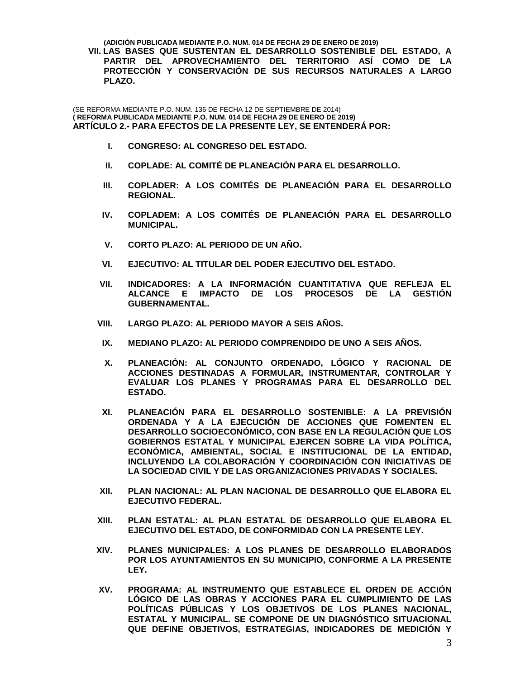**(ADICIÓN PUBLICADA MEDIANTE P.O. NUM. 014 DE FECHA 29 DE ENERO DE 2019) VII. LAS BASES QUE SUSTENTAN EL DESARROLLO SOSTENIBLE DEL ESTADO, A PARTIR DEL APROVECHAMIENTO DEL TERRITORIO ASÍ COMO DE LA PROTECCIÓN Y CONSERVACIÓN DE SUS RECURSOS NATURALES A LARGO PLAZO.** 

(SE REFORMA MEDIANTE P.O. NUM. 136 DE FECHA 12 DE SEPTIEMBRE DE 2014) **( REFORMA PUBLICADA MEDIANTE P.O. NUM. 014 DE FECHA 29 DE ENERO DE 2019) ARTÍCULO 2.- PARA EFECTOS DE LA PRESENTE LEY, SE ENTENDERÁ POR:**

- **I. CONGRESO: AL CONGRESO DEL ESTADO.**
- **II. COPLADE: AL COMITÉ DE PLANEACIÓN PARA EL DESARROLLO.**
- **III. COPLADER: A LOS COMITÉS DE PLANEACIÓN PARA EL DESARROLLO REGIONAL.**
- **IV. COPLADEM: A LOS COMITÉS DE PLANEACIÓN PARA EL DESARROLLO MUNICIPAL.**
- **V. CORTO PLAZO: AL PERIODO DE UN AÑO.**
- **VI. EJECUTIVO: AL TITULAR DEL PODER EJECUTIVO DEL ESTADO.**
- **VII. INDICADORES: A LA INFORMACIÓN CUANTITATIVA QUE REFLEJA EL ALCANCE E IMPACTO DE LOS PROCESOS DE LA GESTIÓN GUBERNAMENTAL.**
- **VIII. LARGO PLAZO: AL PERIODO MAYOR A SEIS AÑOS.**
- **IX. MEDIANO PLAZO: AL PERIODO COMPRENDIDO DE UNO A SEIS AÑOS.**
- **X. PLANEACIÓN: AL CONJUNTO ORDENADO, LÓGICO Y RACIONAL DE ACCIONES DESTINADAS A FORMULAR, INSTRUMENTAR, CONTROLAR Y EVALUAR LOS PLANES Y PROGRAMAS PARA EL DESARROLLO DEL ESTADO.**
- **XI. PLANEACIÓN PARA EL DESARROLLO SOSTENIBLE: A LA PREVISIÓN ORDENADA Y A LA EJECUCIÓN DE ACCIONES QUE FOMENTEN EL DESARROLLO SOCIOECONÓMICO, CON BASE EN LA REGULACIÓN QUE LOS GOBIERNOS ESTATAL Y MUNICIPAL EJERCEN SOBRE LA VIDA POLÍTICA, ECONÓMICA, AMBIENTAL, SOCIAL E INSTITUCIONAL DE LA ENTIDAD, INCLUYENDO LA COLABORACIÓN Y COORDINACIÓN CON INICIATIVAS DE LA SOCIEDAD CIVIL Y DE LAS ORGANIZACIONES PRIVADAS Y SOCIALES.**
- **XII. PLAN NACIONAL: AL PLAN NACIONAL DE DESARROLLO QUE ELABORA EL EJECUTIVO FEDERAL.**
- **XIII. PLAN ESTATAL: AL PLAN ESTATAL DE DESARROLLO QUE ELABORA EL EJECUTIVO DEL ESTADO, DE CONFORMIDAD CON LA PRESENTE LEY.**
- **XIV. PLANES MUNICIPALES: A LOS PLANES DE DESARROLLO ELABORADOS POR LOS AYUNTAMIENTOS EN SU MUNICIPIO, CONFORME A LA PRESENTE LEY.**
- **XV. PROGRAMA: AL INSTRUMENTO QUE ESTABLECE EL ORDEN DE ACCIÓN LÓGICO DE LAS OBRAS Y ACCIONES PARA EL CUMPLIMIENTO DE LAS POLÍTICAS PÚBLICAS Y LOS OBJETIVOS DE LOS PLANES NACIONAL, ESTATAL Y MUNICIPAL. SE COMPONE DE UN DIAGNÓSTICO SITUACIONAL QUE DEFINE OBJETIVOS, ESTRATEGIAS, INDICADORES DE MEDICIÓN Y**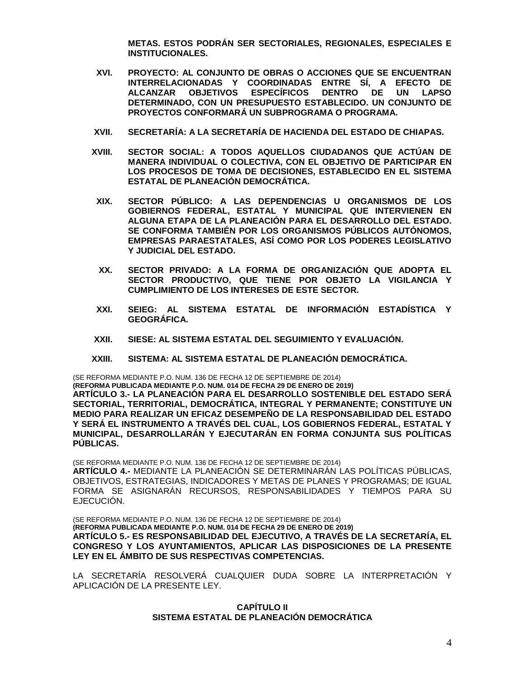**METAS. ESTOS PODRÁN SER SECTORIALES, REGIONALES, ESPECIALES E INSTITUCIONALES.**

- **XVI. PROYECTO: AL CONJUNTO DE OBRAS O ACCIONES QUE SE ENCUENTRAN INTERRELACIONADAS Y COORDINADAS ENTRE SÍ, A EFECTO DE ALCANZAR OBJETIVOS ESPECÍFICOS DENTRO DE UN LAPSO DETERMINADO, CON UN PRESUPUESTO ESTABLECIDO. UN CONJUNTO DE PROYECTOS CONFORMARÁ UN SUBPROGRAMA O PROGRAMA.**
- **XVII. SECRETARÍA: A LA SECRETARÍA DE HACIENDA DEL ESTADO DE CHIAPAS.**
- **XVIII. SECTOR SOCIAL: A TODOS AQUELLOS CIUDADANOS QUE ACTÚAN DE MANERA INDIVIDUAL O COLECTIVA, CON EL OBJETIVO DE PARTICIPAR EN LOS PROCESOS DE TOMA DE DECISIONES, ESTABLECIDO EN EL SISTEMA ESTATAL DE PLANEACIÓN DEMOCRÁTICA.**
- **XIX. SECTOR PÚBLICO: A LAS DEPENDENCIAS U ORGANISMOS DE LOS GOBIERNOS FEDERAL, ESTATAL Y MUNICIPAL QUE INTERVIENEN EN ALGUNA ETAPA DE LA PLANEACIÓN PARA EL DESARROLLO DEL ESTADO. SE CONFORMA TAMBIÉN POR LOS ORGANISMOS PÚBLICOS AUTÓNOMOS, EMPRESAS PARAESTATALES, ASÍ COMO POR LOS PODERES LEGISLATIVO Y JUDICIAL DEL ESTADO.**
- **XX. SECTOR PRIVADO: A LA FORMA DE ORGANIZACIÓN QUE ADOPTA EL SECTOR PRODUCTIVO, QUE TIENE POR OBJETO LA VIGILANCIA Y CUMPLIMIENTO DE LOS INTERESES DE ESTE SECTOR.**
- **XXI. SEIEG: AL SISTEMA ESTATAL DE INFORMACIÓN ESTADÍSTICA Y GEOGRÁFICA.**
- **XXII. SIESE: AL SISTEMA ESTATAL DEL SEGUIMIENTO Y EVALUACIÓN.**
- **XXIII. SISTEMA: AL SISTEMA ESTATAL DE PLANEACIÓN DEMOCRÁTICA.**

(SE REFORMA MEDIANTE P.O. NUM. 136 DE FECHA 12 DE SEPTIEMBRE DE 2014)

**(REFORMA PUBLICADA MEDIANTE P.O. NUM. 014 DE FECHA 29 DE ENERO DE 2019) ARTÍCULO 3.- LA PLANEACIÓN PARA EL DESARROLLO SOSTENIBLE DEL ESTADO SERÁ SECTORIAL, TERRITORIAL, DEMOCRÁTICA, INTEGRAL Y PERMANENTE; CONSTITUYE UN MEDIO PARA REALIZAR UN EFICAZ DESEMPEÑO DE LA RESPONSABILIDAD DEL ESTADO Y SERÁ EL INSTRUMENTO A TRAVÉS DEL CUAL, LOS GOBIERNOS FEDERAL, ESTATAL Y MUNICIPAL, DESARROLLARÁN Y EJECUTARÁN EN FORMA CONJUNTA SUS POLÍTICAS PÚBLICAS.**

(SE REFORMA MEDIANTE P.O. NUM. 136 DE FECHA 12 DE SEPTIEMBRE DE 2014) **ARTÍCULO 4.-** MEDIANTE LA PLANEACIÓN SE DETERMINARÁN LAS POLÍTICAS PÚBLICAS, OBJETIVOS, ESTRATEGIAS, INDICADORES Y METAS DE PLANES Y PROGRAMAS; DE IGUAL FORMA SE ASIGNARÁN RECURSOS, RESPONSABILIDADES Y TIEMPOS PARA SU EJECUCIÓN.

(SE REFORMA MEDIANTE P.O. NUM. 136 DE FECHA 12 DE SEPTIEMBRE DE 2014) **(REFORMA PUBLICADA MEDIANTE P.O. NUM. 014 DE FECHA 29 DE ENERO DE 2019) ARTÍCULO 5.- ES RESPONSABILIDAD DEL EJECUTIVO, A TRAVÉS DE LA SECRETARÍA, EL CONGRESO Y LOS AYUNTAMIENTOS, APLICAR LAS DISPOSICIONES DE LA PRESENTE LEY EN EL ÁMBITO DE SUS RESPECTIVAS COMPETENCIAS.**

LA SECRETARÍA RESOLVERÁ CUALQUIER DUDA SOBRE LA INTERPRETACIÓN Y APLICACIÓN DE LA PRESENTE LEY.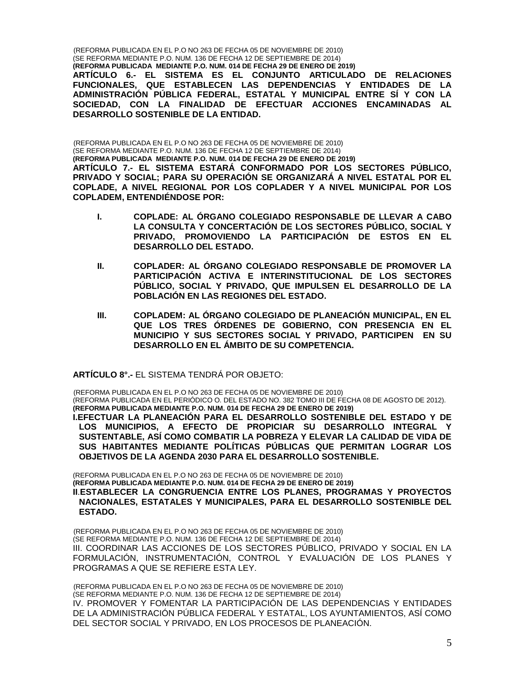(REFORMA PUBLICADA EN EL P.O NO 263 DE FECHA 05 DE NOVIEMBRE DE 2010) (SE REFORMA MEDIANTE P.O. NUM. 136 DE FECHA 12 DE SEPTIEMBRE DE 2014) **(REFORMA PUBLICADA MEDIANTE P.O. NUM. 014 DE FECHA 29 DE ENERO DE 2019) ARTÍCULO 6.- EL SISTEMA ES EL CONJUNTO ARTICULADO DE RELACIONES FUNCIONALES, QUE ESTABLECEN LAS DEPENDENCIAS Y ENTIDADES DE LA ADMINISTRACIÓN PÚBLICA FEDERAL, ESTATAL Y MUNICIPAL ENTRE SÍ Y CON LA SOCIEDAD, CON LA FINALIDAD DE EFECTUAR ACCIONES ENCAMINADAS AL DESARROLLO SOSTENIBLE DE LA ENTIDAD.**

(REFORMA PUBLICADA EN EL P.O NO 263 DE FECHA 05 DE NOVIEMBRE DE 2010) (SE REFORMA MEDIANTE P.O. NUM. 136 DE FECHA 12 DE SEPTIEMBRE DE 2014) **(REFORMA PUBLICADA MEDIANTE P.O. NUM. 014 DE FECHA 29 DE ENERO DE 2019) ARTÍCULO 7.- EL SISTEMA ESTARÁ CONFORMADO POR LOS SECTORES PÚBLICO, PRIVADO Y SOCIAL; PARA SU OPERACIÓN SE ORGANIZARÁ A NIVEL ESTATAL POR EL COPLADE, A NIVEL REGIONAL POR LOS COPLADER Y A NIVEL MUNICIPAL POR LOS COPLADEM, ENTENDIÉNDOSE POR:**

- **I. COPLADE: AL ÓRGANO COLEGIADO RESPONSABLE DE LLEVAR A CABO LA CONSULTA Y CONCERTACIÓN DE LOS SECTORES PÚBLICO, SOCIAL Y PRIVADO, PROMOVIENDO LA PARTICIPACIÓN DE ESTOS EN EL DESARROLLO DEL ESTADO.**
- **II. COPLADER: AL ÓRGANO COLEGIADO RESPONSABLE DE PROMOVER LA PARTICIPACIÓN ACTIVA E INTERINSTITUCIONAL DE LOS SECTORES PÚBLICO, SOCIAL Y PRIVADO, QUE IMPULSEN EL DESARROLLO DE LA POBLACIÓN EN LAS REGIONES DEL ESTADO.**
- **III. COPLADEM: AL ÓRGANO COLEGIADO DE PLANEACIÓN MUNICIPAL, EN EL QUE LOS TRES ÓRDENES DE GOBIERNO, CON PRESENCIA EN EL MUNICIPIO Y SUS SECTORES SOCIAL Y PRIVADO, PARTICIPEN EN SU DESARROLLO EN EL ÁMBITO DE SU COMPETENCIA.**

**ARTÍCULO 8°.-** EL SISTEMA TENDRÁ POR OBJETO:

(REFORMA PUBLICADA EN EL P.O NO 263 DE FECHA 05 DE NOVIEMBRE DE 2010) (REFORMA PUBLICADA EN EL PERIÓDICO O. DEL ESTADO NO. 382 TOMO III DE FECHA 08 DE AGOSTO DE 2012). **(REFORMA PUBLICADA MEDIANTE P.O. NUM. 014 DE FECHA 29 DE ENERO DE 2019)**

**I.EFECTUAR LA PLANEACIÓN PARA EL DESARROLLO SOSTENIBLE DEL ESTADO Y DE LOS MUNICIPIOS, A EFECTO DE PROPICIAR SU DESARROLLO INTEGRAL Y SUSTENTABLE, ASÍ COMO COMBATIR LA POBREZA Y ELEVAR LA CALIDAD DE VIDA DE SUS HABITANTES MEDIANTE POLÍTICAS PÚBLICAS QUE PERMITAN LOGRAR LOS OBJETIVOS DE LA AGENDA 2030 PARA EL DESARROLLO SOSTENIBLE.**

(REFORMA PUBLICADA EN EL P.O NO 263 DE FECHA 05 DE NOVIEMBRE DE 2010) **(REFORMA PUBLICADA MEDIANTE P.O. NUM. 014 DE FECHA 29 DE ENERO DE 2019) II**.**ESTABLECER LA CONGRUENCIA ENTRE LOS PLANES, PROGRAMAS Y PROYECTOS NACIONALES, ESTATALES Y MUNICIPALES, PARA EL DESARROLLO SOSTENIBLE DEL ESTADO.**

(REFORMA PUBLICADA EN EL P.O NO 263 DE FECHA 05 DE NOVIEMBRE DE 2010) (SE REFORMA MEDIANTE P.O. NUM. 136 DE FECHA 12 DE SEPTIEMBRE DE 2014) III. COORDINAR LAS ACCIONES DE LOS SECTORES PÚBLICO, PRIVADO Y SOCIAL EN LA FORMULACIÓN, INSTRUMENTACIÓN, CONTROL Y EVALUACIÓN DE LOS PLANES Y PROGRAMAS A QUE SE REFIERE ESTA LEY.

(REFORMA PUBLICADA EN EL P.O NO 263 DE FECHA 05 DE NOVIEMBRE DE 2010) (SE REFORMA MEDIANTE P.O. NUM. 136 DE FECHA 12 DE SEPTIEMBRE DE 2014) IV. PROMOVER Y FOMENTAR LA PARTICIPACIÓN DE LAS DEPENDENCIAS Y ENTIDADES DE LA ADMINISTRACIÓN PÚBLICA FEDERAL Y ESTATAL, LOS AYUNTAMIENTOS, ASÍ COMO DEL SECTOR SOCIAL Y PRIVADO, EN LOS PROCESOS DE PLANEACIÓN.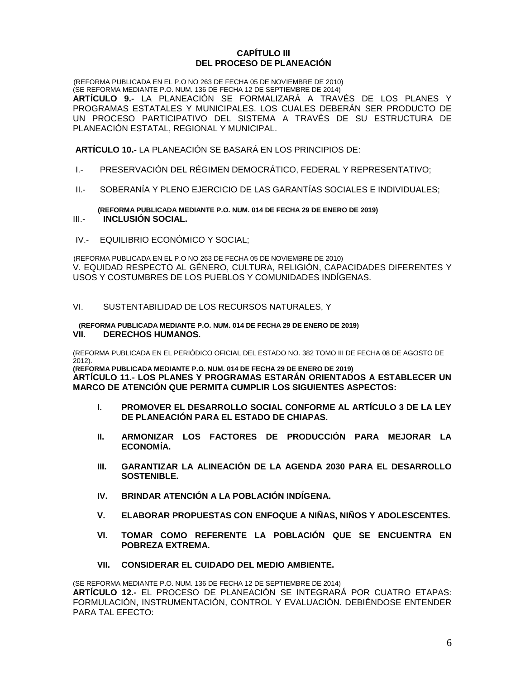# **CAPÍTULO III DEL PROCESO DE PLANEACIÓN**

(REFORMA PUBLICADA EN EL P.O NO 263 DE FECHA 05 DE NOVIEMBRE DE 2010) (SE REFORMA MEDIANTE P.O. NUM. 136 DE FECHA 12 DE SEPTIEMBRE DE 2014) **ARTÍCULO 9.-** LA PLANEACIÓN SE FORMALIZARÁ A TRAVÉS DE LOS PLANES Y PROGRAMAS ESTATALES Y MUNICIPALES. LOS CUALES DEBERÁN SER PRODUCTO DE UN PROCESO PARTICIPATIVO DEL SISTEMA A TRAVÉS DE SU ESTRUCTURA DE PLANEACIÓN ESTATAL, REGIONAL Y MUNICIPAL.

**ARTÍCULO 10.-** LA PLANEACIÓN SE BASARÁ EN LOS PRINCIPIOS DE:

- I.- PRESERVACIÓN DEL RÉGIMEN DEMOCRÁTICO, FEDERAL Y REPRESENTATIVO;
- II.- SOBERANÍA Y PLENO EJERCICIO DE LAS GARANTÍAS SOCIALES E INDIVIDUALES;

 **(REFORMA PUBLICADA MEDIANTE P.O. NUM. 014 DE FECHA 29 DE ENERO DE 2019)** III.- **INCLUSIÓN SOCIAL.**

IV.- EQUILIBRIO ECONÓMICO Y SOCIAL;

(REFORMA PUBLICADA EN EL P.O NO 263 DE FECHA 05 DE NOVIEMBRE DE 2010) V. EQUIDAD RESPECTO AL GÉNERO, CULTURA, RELIGIÓN, CAPACIDADES DIFERENTES Y USOS Y COSTUMBRES DE LOS PUEBLOS Y COMUNIDADES INDÍGENAS.

# VI. SUSTENTABILIDAD DE LOS RECURSOS NATURALES, Y

#### **(REFORMA PUBLICADA MEDIANTE P.O. NUM. 014 DE FECHA 29 DE ENERO DE 2019) VII. DERECHOS HUMANOS.**

(REFORMA PUBLICADA EN EL PERIÓDICO OFICIAL DEL ESTADO NO. 382 TOMO III DE FECHA 08 DE AGOSTO DE  $2012$ ).

**(REFORMA PUBLICADA MEDIANTE P.O. NUM. 014 DE FECHA 29 DE ENERO DE 2019) ARTÍCULO 11.- LOS PLANES Y PROGRAMAS ESTARÁN ORIENTADOS A ESTABLECER UN MARCO DE ATENCIÓN QUE PERMITA CUMPLIR LOS SIGUIENTES ASPECTOS:**

- **I. PROMOVER EL DESARROLLO SOCIAL CONFORME AL ARTÍCULO 3 DE LA LEY DE PLANEACIÓN PARA EL ESTADO DE CHIAPAS.**
- **II. ARMONIZAR LOS FACTORES DE PRODUCCIÓN PARA MEJORAR LA ECONOMÍA.**
- **III. GARANTIZAR LA ALINEACIÓN DE LA AGENDA 2030 PARA EL DESARROLLO SOSTENIBLE.**
- **IV. BRINDAR ATENCIÓN A LA POBLACIÓN INDÍGENA.**
- **V. ELABORAR PROPUESTAS CON ENFOQUE A NIÑAS, NIÑOS Y ADOLESCENTES.**
- **VI. TOMAR COMO REFERENTE LA POBLACIÓN QUE SE ENCUENTRA EN POBREZA EXTREMA.**
- **VII. CONSIDERAR EL CUIDADO DEL MEDIO AMBIENTE.**

(SE REFORMA MEDIANTE P.O. NUM. 136 DE FECHA 12 DE SEPTIEMBRE DE 2014) **ARTÍCULO 12.-** EL PROCESO DE PLANEACIÓN SE INTEGRARÁ POR CUATRO ETAPAS: FORMULACIÓN, INSTRUMENTACIÓN, CONTROL Y EVALUACIÓN. DEBIÉNDOSE ENTENDER PARA TAL EFECTO: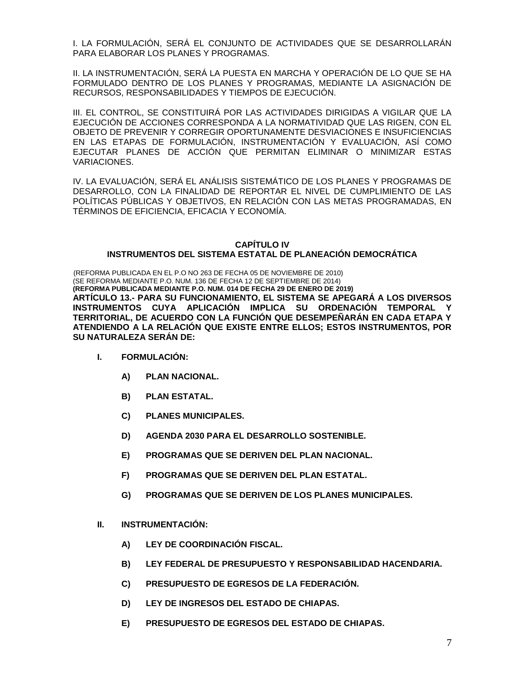I. LA FORMULACIÓN, SERÁ EL CONJUNTO DE ACTIVIDADES QUE SE DESARROLLARÁN PARA ELABORAR LOS PLANES Y PROGRAMAS.

II. LA INSTRUMENTACIÓN, SERÁ LA PUESTA EN MARCHA Y OPERACIÓN DE LO QUE SE HA FORMULADO DENTRO DE LOS PLANES Y PROGRAMAS, MEDIANTE LA ASIGNACIÓN DE RECURSOS, RESPONSABILIDADES Y TIEMPOS DE EJECUCIÓN.

III. EL CONTROL, SE CONSTITUIRÁ POR LAS ACTIVIDADES DIRIGIDAS A VIGILAR QUE LA EJECUCIÓN DE ACCIONES CORRESPONDA A LA NORMATIVIDAD QUE LAS RIGEN, CON EL OBJETO DE PREVENIR Y CORREGIR OPORTUNAMENTE DESVIACIONES E INSUFICIENCIAS EN LAS ETAPAS DE FORMULACIÓN, INSTRUMENTACIÓN Y EVALUACIÓN, ASÍ COMO EJECUTAR PLANES DE ACCIÓN QUE PERMITAN ELIMINAR O MINIMIZAR ESTAS VARIACIONES.

IV. LA EVALUACIÓN, SERÁ EL ANÁLISIS SISTEMÁTICO DE LOS PLANES Y PROGRAMAS DE DESARROLLO, CON LA FINALIDAD DE REPORTAR EL NIVEL DE CUMPLIMIENTO DE LAS POLÍTICAS PÚBLICAS Y OBJETIVOS, EN RELACIÓN CON LAS METAS PROGRAMADAS, EN TÉRMINOS DE EFICIENCIA, EFICACIA Y ECONOMÍA.

# **CAPÍTULO IV INSTRUMENTOS DEL SISTEMA ESTATAL DE PLANEACIÓN DEMOCRÁTICA**

(REFORMA PUBLICADA EN EL P.O NO 263 DE FECHA 05 DE NOVIEMBRE DE 2010) (SE REFORMA MEDIANTE P.O. NUM. 136 DE FECHA 12 DE SEPTIEMBRE DE 2014) **(REFORMA PUBLICADA MEDIANTE P.O. NUM. 014 DE FECHA 29 DE ENERO DE 2019) ARTÍCULO 13.- PARA SU FUNCIONAMIENTO, EL SISTEMA SE APEGARÁ A LOS DIVERSOS**  INSTRUMENTOS CUYA APLICACIÓN IMPLICA SU ORDENACIÓN TEMPORAL **TERRITORIAL, DE ACUERDO CON LA FUNCIÓN QUE DESEMPEÑARÁN EN CADA ETAPA Y ATENDIENDO A LA RELACIÓN QUE EXISTE ENTRE ELLOS; ESTOS INSTRUMENTOS, POR SU NATURALEZA SERÁN DE:**

- **I. FORMULACIÓN:**
	- **A) PLAN NACIONAL.**
	- **B) PLAN ESTATAL.**
	- **C) PLANES MUNICIPALES.**
	- **D) AGENDA 2030 PARA EL DESARROLLO SOSTENIBLE.**
	- **E) PROGRAMAS QUE SE DERIVEN DEL PLAN NACIONAL.**
	- **F) PROGRAMAS QUE SE DERIVEN DEL PLAN ESTATAL.**
	- **G) PROGRAMAS QUE SE DERIVEN DE LOS PLANES MUNICIPALES.**
- **II. INSTRUMENTACIÓN:**
	- **A) LEY DE COORDINACIÓN FISCAL.**
	- **B) LEY FEDERAL DE PRESUPUESTO Y RESPONSABILIDAD HACENDARIA.**
	- **C) PRESUPUESTO DE EGRESOS DE LA FEDERACIÓN.**
	- **D) LEY DE INGRESOS DEL ESTADO DE CHIAPAS.**
	- **E) PRESUPUESTO DE EGRESOS DEL ESTADO DE CHIAPAS.**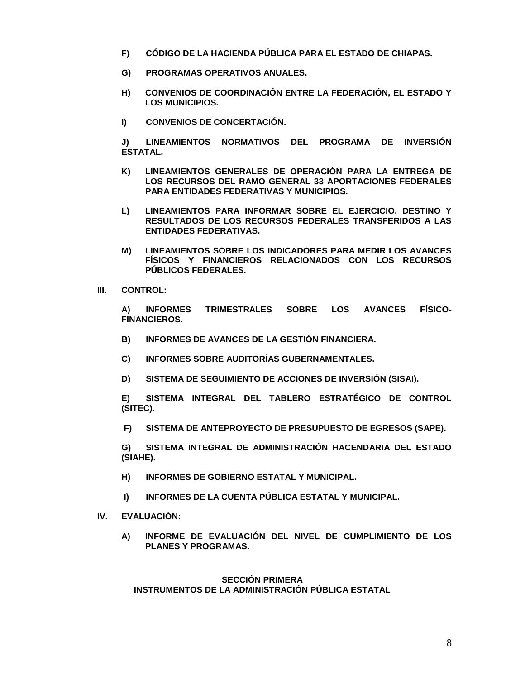- **F) CÓDIGO DE LA HACIENDA PÚBLICA PARA EL ESTADO DE CHIAPAS.**
- **G) PROGRAMAS OPERATIVOS ANUALES.**
- **H) CONVENIOS DE COORDINACIÓN ENTRE LA FEDERACIÓN, EL ESTADO Y LOS MUNICIPIOS.**
- **I) CONVENIOS DE CONCERTACIÓN.**

**J) LINEAMIENTOS NORMATIVOS DEL PROGRAMA DE INVERSIÓN ESTATAL.**

- **K) LINEAMIENTOS GENERALES DE OPERACIÓN PARA LA ENTREGA DE LOS RECURSOS DEL RAMO GENERAL 33 APORTACIONES FEDERALES PARA ENTIDADES FEDERATIVAS Y MUNICIPIOS.**
- **L) LINEAMIENTOS PARA INFORMAR SOBRE EL EJERCICIO, DESTINO Y RESULTADOS DE LOS RECURSOS FEDERALES TRANSFERIDOS A LAS ENTIDADES FEDERATIVAS.**
- **M) LINEAMIENTOS SOBRE LOS INDICADORES PARA MEDIR LOS AVANCES FÍSICOS Y FINANCIEROS RELACIONADOS CON LOS RECURSOS PÚBLICOS FEDERALES.**
- **III. CONTROL:**

**A) INFORMES TRIMESTRALES SOBRE LOS AVANCES FÍSICO-FINANCIEROS.**

- **B) INFORMES DE AVANCES DE LA GESTIÓN FINANCIERA.**
- **C) INFORMES SOBRE AUDITORÍAS GUBERNAMENTALES.**
- **D) SISTEMA DE SEGUIMIENTO DE ACCIONES DE INVERSIÓN (SISAI).**

**E) SISTEMA INTEGRAL DEL TABLERO ESTRATÉGICO DE CONTROL (SITEC).**

**F) SISTEMA DE ANTEPROYECTO DE PRESUPUESTO DE EGRESOS (SAPE).**

**G) SISTEMA INTEGRAL DE ADMINISTRACIÓN HACENDARIA DEL ESTADO (SIAHE).**

- **H) INFORMES DE GOBIERNO ESTATAL Y MUNICIPAL.**
- **I) INFORMES DE LA CUENTA PÚBLICA ESTATAL Y MUNICIPAL.**
- **IV. EVALUACIÓN:**
	- **A) INFORME DE EVALUACIÓN DEL NIVEL DE CUMPLIMIENTO DE LOS PLANES Y PROGRAMAS.**

**SECCIÓN PRIMERA INSTRUMENTOS DE LA ADMINISTRACIÓN PÚBLICA ESTATAL**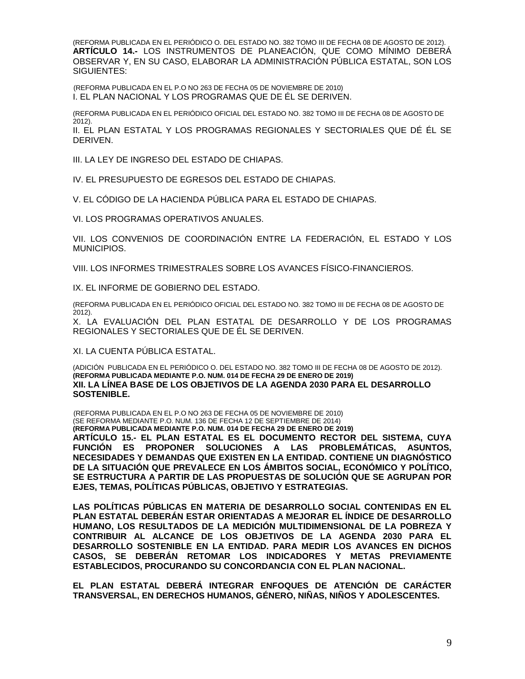(REFORMA PUBLICADA EN EL PERIÓDICO O. DEL ESTADO NO. 382 TOMO III DE FECHA 08 DE AGOSTO DE 2012). **ARTÍCULO 14.-** LOS INSTRUMENTOS DE PLANEACIÓN, QUE COMO MÍNIMO DEBERÁ OBSERVAR Y, EN SU CASO, ELABORAR LA ADMINISTRACIÓN PÚBLICA ESTATAL, SON LOS SIGUIENTES:

(REFORMA PUBLICADA EN EL P.O NO 263 DE FECHA 05 DE NOVIEMBRE DE 2010) I. EL PLAN NACIONAL Y LOS PROGRAMAS QUE DE ÉL SE DERIVEN.

(REFORMA PUBLICADA EN EL PERIÓDICO OFICIAL DEL ESTADO NO. 382 TOMO III DE FECHA 08 DE AGOSTO DE 2012).

II. EL PLAN ESTATAL Y LOS PROGRAMAS REGIONALES Y SECTORIALES QUE DÉ ÉL SE **DERIVEN.** 

III. LA LEY DE INGRESO DEL ESTADO DE CHIAPAS.

IV. EL PRESUPUESTO DE EGRESOS DEL ESTADO DE CHIAPAS.

V. EL CÓDIGO DE LA HACIENDA PÚBLICA PARA EL ESTADO DE CHIAPAS.

VI. LOS PROGRAMAS OPERATIVOS ANUALES.

VII. LOS CONVENIOS DE COORDINACIÓN ENTRE LA FEDERACIÓN, EL ESTADO Y LOS MUNICIPIOS.

VIII. LOS INFORMES TRIMESTRALES SOBRE LOS AVANCES FÍSICO-FINANCIEROS.

IX. EL INFORME DE GOBIERNO DEL ESTADO.

(REFORMA PUBLICADA EN EL PERIÓDICO OFICIAL DEL ESTADO NO. 382 TOMO III DE FECHA 08 DE AGOSTO DE  $2012$ ).

X. LA EVALUACIÓN DEL PLAN ESTATAL DE DESARROLLO Y DE LOS PROGRAMAS REGIONALES Y SECTORIALES QUE DE ÉL SE DERIVEN.

XI. LA CUENTA PÚBLICA ESTATAL.

(ADICIÓN PUBLICADA EN EL PERIÓDICO O. DEL ESTADO NO. 382 TOMO III DE FECHA 08 DE AGOSTO DE 2012). **(REFORMA PUBLICADA MEDIANTE P.O. NUM. 014 DE FECHA 29 DE ENERO DE 2019) XII. LA LÍNEA BASE DE LOS OBJETIVOS DE LA AGENDA 2030 PARA EL DESARROLLO SOSTENIBLE.**

(REFORMA PUBLICADA EN EL P.O NO 263 DE FECHA 05 DE NOVIEMBRE DE 2010) (SE REFORMA MEDIANTE P.O. NUM. 136 DE FECHA 12 DE SEPTIEMBRE DE 2014) **(REFORMA PUBLICADA MEDIANTE P.O. NUM. 014 DE FECHA 29 DE ENERO DE 2019) ARTÍCULO 15.- EL PLAN ESTATAL ES EL DOCUMENTO RECTOR DEL SISTEMA, CUYA FUNCIÓN ES PROPONER SOLUCIONES A LAS PROBLEMÁTICAS, ASUNTOS, NECESIDADES Y DEMANDAS QUE EXISTEN EN LA ENTIDAD. CONTIENE UN DIAGNÓSTICO DE LA SITUACIÓN QUE PREVALECE EN LOS ÁMBITOS SOCIAL, ECONÓMICO Y POLÍTICO, SE ESTRUCTURA A PARTIR DE LAS PROPUESTAS DE SOLUCIÓN QUE SE AGRUPAN POR EJES, TEMAS, POLÍTICAS PÚBLICAS, OBJETIVO Y ESTRATEGIAS.**

**LAS POLÍTICAS PÚBLICAS EN MATERIA DE DESARROLLO SOCIAL CONTENIDAS EN EL PLAN ESTATAL DEBERÁN ESTAR ORIENTADAS A MEJORAR EL ÍNDICE DE DESARROLLO HUMANO, LOS RESULTADOS DE LA MEDICIÓN MULTIDIMENSIONAL DE LA POBREZA Y CONTRIBUIR AL ALCANCE DE LOS OBJETIVOS DE LA AGENDA 2030 PARA EL DESARROLLO SOSTENIBLE EN LA ENTIDAD. PARA MEDIR LOS AVANCES EN DICHOS CASOS, SE DEBERÁN RETOMAR LOS INDICADORES Y METAS PREVIAMENTE ESTABLECIDOS, PROCURANDO SU CONCORDANCIA CON EL PLAN NACIONAL.**

**EL PLAN ESTATAL DEBERÁ INTEGRAR ENFOQUES DE ATENCIÓN DE CARÁCTER TRANSVERSAL, EN DERECHOS HUMANOS, GÉNERO, NIÑAS, NIÑOS Y ADOLESCENTES.**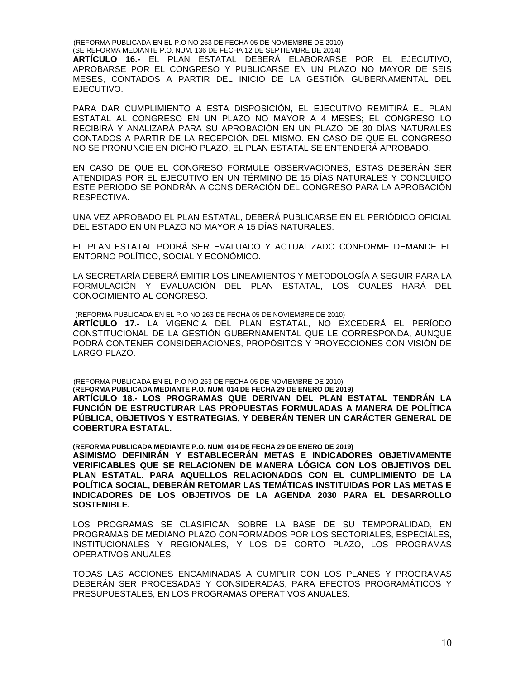(REFORMA PUBLICADA EN EL P.O NO 263 DE FECHA 05 DE NOVIEMBRE DE 2010) (SE REFORMA MEDIANTE P.O. NUM. 136 DE FECHA 12 DE SEPTIEMBRE DE 2014) **ARTÍCULO 16.-** EL PLAN ESTATAL DEBERÁ ELABORARSE POR EL EJECUTIVO, APROBARSE POR EL CONGRESO Y PUBLICARSE EN UN PLAZO NO MAYOR DE SEIS MESES, CONTADOS A PARTIR DEL INICIO DE LA GESTIÓN GUBERNAMENTAL DEL EJECUTIVO.

PARA DAR CUMPLIMIENTO A ESTA DISPOSICIÓN, EL EJECUTIVO REMITIRÁ EL PLAN ESTATAL AL CONGRESO EN UN PLAZO NO MAYOR A 4 MESES; EL CONGRESO LO RECIBIRÁ Y ANALIZARÁ PARA SU APROBACIÓN EN UN PLAZO DE 30 DÍAS NATURALES CONTADOS A PARTIR DE LA RECEPCIÓN DEL MISMO. EN CASO DE QUE EL CONGRESO NO SE PRONUNCIE EN DICHO PLAZO, EL PLAN ESTATAL SE ENTENDERÁ APROBADO.

EN CASO DE QUE EL CONGRESO FORMULE OBSERVACIONES, ESTAS DEBERÁN SER ATENDIDAS POR EL EJECUTIVO EN UN TÉRMINO DE 15 DÍAS NATURALES Y CONCLUIDO ESTE PERIODO SE PONDRÁN A CONSIDERACIÓN DEL CONGRESO PARA LA APROBACIÓN RESPECTIVA.

UNA VEZ APROBADO EL PLAN ESTATAL, DEBERÁ PUBLICARSE EN EL PERIÓDICO OFICIAL DEL ESTADO EN UN PLAZO NO MAYOR A 15 DÍAS NATURALES.

EL PLAN ESTATAL PODRÁ SER EVALUADO Y ACTUALIZADO CONFORME DEMANDE EL ENTORNO POLÍTICO, SOCIAL Y ECONÓMICO.

LA SECRETARÍA DEBERÁ EMITIR LOS LINEAMIENTOS Y METODOLOGÍA A SEGUIR PARA LA FORMULACIÓN Y EVALUACIÓN DEL PLAN ESTATAL, LOS CUALES HARÁ DEL CONOCIMIENTO AL CONGRESO.

(REFORMA PUBLICADA EN EL P.O NO 263 DE FECHA 05 DE NOVIEMBRE DE 2010) **ARTÍCULO 17.-** LA VIGENCIA DEL PLAN ESTATAL, NO EXCEDERÁ EL PERÍODO CONSTITUCIONAL DE LA GESTIÓN GUBERNAMENTAL QUE LE CORRESPONDA, AUNQUE PODRÁ CONTENER CONSIDERACIONES, PROPÓSITOS Y PROYECCIONES CON VISIÓN DE LARGO PLAZO.

(REFORMA PUBLICADA EN EL P.O NO 263 DE FECHA 05 DE NOVIEMBRE DE 2010) **(REFORMA PUBLICADA MEDIANTE P.O. NUM. 014 DE FECHA 29 DE ENERO DE 2019) ARTÍCULO 18.- LOS PROGRAMAS QUE DERIVAN DEL PLAN ESTATAL TENDRÁN LA FUNCIÓN DE ESTRUCTURAR LAS PROPUESTAS FORMULADAS A MANERA DE POLÍTICA PÚBLICA, OBJETIVOS Y ESTRATEGIAS, Y DEBERÁN TENER UN CARÁCTER GENERAL DE COBERTURA ESTATAL.**

**(REFORMA PUBLICADA MEDIANTE P.O. NUM. 014 DE FECHA 29 DE ENERO DE 2019) ASIMISMO DEFINIRÁN Y ESTABLECERÁN METAS E INDICADORES OBJETIVAMENTE VERIFICABLES QUE SE RELACIONEN DE MANERA LÓGICA CON LOS OBJETIVOS DEL PLAN ESTATAL. PARA AQUELLOS RELACIONADOS CON EL CUMPLIMIENTO DE LA POLÍTICA SOCIAL, DEBERÁN RETOMAR LAS TEMÁTICAS INSTITUIDAS POR LAS METAS E INDICADORES DE LOS OBJETIVOS DE LA AGENDA 2030 PARA EL DESARROLLO SOSTENIBLE.**

LOS PROGRAMAS SE CLASIFICAN SOBRE LA BASE DE SU TEMPORALIDAD, EN PROGRAMAS DE MEDIANO PLAZO CONFORMADOS POR LOS SECTORIALES, ESPECIALES, INSTITUCIONALES Y REGIONALES, Y LOS DE CORTO PLAZO, LOS PROGRAMAS OPERATIVOS ANUALES.

TODAS LAS ACCIONES ENCAMINADAS A CUMPLIR CON LOS PLANES Y PROGRAMAS DEBERÁN SER PROCESADAS Y CONSIDERADAS, PARA EFECTOS PROGRAMÁTICOS Y PRESUPUESTALES, EN LOS PROGRAMAS OPERATIVOS ANUALES.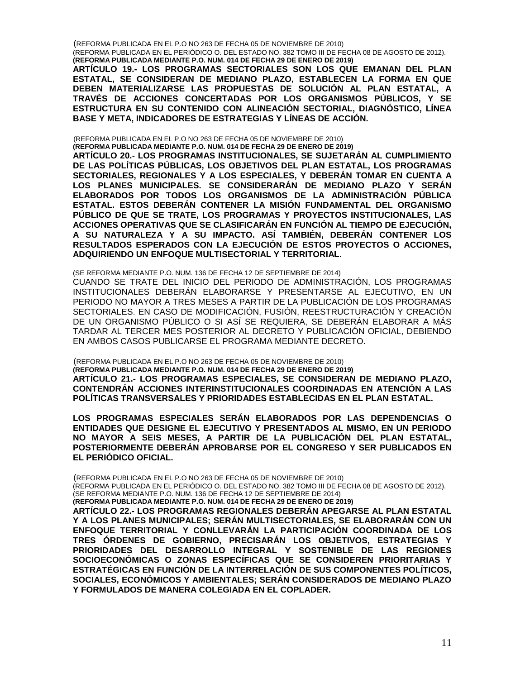(REFORMA PUBLICADA EN EL P.O NO 263 DE FECHA 05 DE NOVIEMBRE DE 2010)

(REFORMA PUBLICADA EN EL PERIÓDICO O. DEL ESTADO NO. 382 TOMO III DE FECHA 08 DE AGOSTO DE 2012). **(REFORMA PUBLICADA MEDIANTE P.O. NUM. 014 DE FECHA 29 DE ENERO DE 2019)**

**ARTÍCULO 19.- LOS PROGRAMAS SECTORIALES SON LOS QUE EMANAN DEL PLAN ESTATAL, SE CONSIDERAN DE MEDIANO PLAZO, ESTABLECEN LA FORMA EN QUE DEBEN MATERIALIZARSE LAS PROPUESTAS DE SOLUCIÓN AL PLAN ESTATAL, A TRAVÉS DE ACCIONES CONCERTADAS POR LOS ORGANISMOS PÚBLICOS, Y SE ESTRUCTURA EN SU CONTENIDO CON ALINEACIÓN SECTORIAL, DIAGNÓSTICO, LÍNEA** 

(REFORMA PUBLICADA EN EL P.O NO 263 DE FECHA 05 DE NOVIEMBRE DE 2010) **(REFORMA PUBLICADA MEDIANTE P.O. NUM. 014 DE FECHA 29 DE ENERO DE 2019)**

**BASE Y META, INDICADORES DE ESTRATEGIAS Y LÍNEAS DE ACCIÓN.**

**ARTÍCULO 20.- LOS PROGRAMAS INSTITUCIONALES, SE SUJETARÁN AL CUMPLIMIENTO DE LAS POLÍTICAS PÚBLICAS, LOS OBJETIVOS DEL PLAN ESTATAL, LOS PROGRAMAS SECTORIALES, REGIONALES Y A LOS ESPECIALES, Y DEBERÁN TOMAR EN CUENTA A LOS PLANES MUNICIPALES. SE CONSIDERARÁN DE MEDIANO PLAZO Y SERÁN ELABORADOS POR TODOS LOS ORGANISMOS DE LA ADMINISTRACIÓN PÚBLICA ESTATAL. ESTOS DEBERÁN CONTENER LA MISIÓN FUNDAMENTAL DEL ORGANISMO PÚBLICO DE QUE SE TRATE, LOS PROGRAMAS Y PROYECTOS INSTITUCIONALES, LAS ACCIONES OPERATIVAS QUE SE CLASIFICARÁN EN FUNCIÓN AL TIEMPO DE EJECUCIÓN, A SU NATURALEZA Y A SU IMPACTO. ASÍ TAMBIÉN, DEBERÁN CONTENER LOS RESULTADOS ESPERADOS CON LA EJECUCIÓN DE ESTOS PROYECTOS O ACCIONES, ADQUIRIENDO UN ENFOQUE MULTISECTORIAL Y TERRITORIAL.**

(SE REFORMA MEDIANTE P.O. NUM. 136 DE FECHA 12 DE SEPTIEMBRE DE 2014)

CUANDO SE TRATE DEL INICIO DEL PERIODO DE ADMINISTRACIÓN, LOS PROGRAMAS INSTITUCIONALES DEBERÁN ELABORARSE Y PRESENTARSE AL EJECUTIVO, EN UN PERIODO NO MAYOR A TRES MESES A PARTIR DE LA PUBLICACIÓN DE LOS PROGRAMAS SECTORIALES. EN CASO DE MODIFICACIÓN, FUSIÓN, REESTRUCTURACIÓN Y CREACIÓN DE UN ORGANISMO PÚBLICO O SI ASÍ SE REQUIERA, SE DEBERÁN ELABORAR A MÁS TARDAR AL TERCER MES POSTERIOR AL DECRETO Y PUBLICACIÓN OFICIAL, DEBIENDO EN AMBOS CASOS PUBLICARSE EL PROGRAMA MEDIANTE DECRETO.

(REFORMA PUBLICADA EN EL P.O NO 263 DE FECHA 05 DE NOVIEMBRE DE 2010) **(REFORMA PUBLICADA MEDIANTE P.O. NUM. 014 DE FECHA 29 DE ENERO DE 2019) ARTÍCULO 21.- LOS PROGRAMAS ESPECIALES, SE CONSIDERAN DE MEDIANO PLAZO, CONTENDRÁN ACCIONES INTERINSTITUCIONALES COORDINADAS EN ATENCIÓN A LAS POLÍTICAS TRANSVERSALES Y PRIORIDADES ESTABLECIDAS EN EL PLAN ESTATAL.** 

**LOS PROGRAMAS ESPECIALES SERÁN ELABORADOS POR LAS DEPENDENCIAS O ENTIDADES QUE DESIGNE EL EJECUTIVO Y PRESENTADOS AL MISMO, EN UN PERIODO NO MAYOR A SEIS MESES, A PARTIR DE LA PUBLICACIÓN DEL PLAN ESTATAL, POSTERIORMENTE DEBERÁN APROBARSE POR EL CONGRESO Y SER PUBLICADOS EN EL PERIÓDICO OFICIAL.**

(REFORMA PUBLICADA EN EL P.O NO 263 DE FECHA 05 DE NOVIEMBRE DE 2010)

(REFORMA PUBLICADA EN EL PERIÓDICO O. DEL ESTADO NO. 382 TOMO III DE FECHA 08 DE AGOSTO DE 2012). (SE REFORMA MEDIANTE P.O. NUM. 136 DE FECHA 12 DE SEPTIEMBRE DE 2014)

**(REFORMA PUBLICADA MEDIANTE P.O. NUM. 014 DE FECHA 29 DE ENERO DE 2019)**

**ARTÍCULO 22.- LOS PROGRAMAS REGIONALES DEBERÁN APEGARSE AL PLAN ESTATAL Y A LOS PLANES MUNICIPALES; SERÁN MULTISECTORIALES, SE ELABORARÁN CON UN ENFOQUE TERRITORIAL Y CONLLEVARÁN LA PARTICIPACIÓN COORDINADA DE LOS TRES ÓRDENES DE GOBIERNO, PRECISARÁN LOS OBJETIVOS, ESTRATEGIAS Y PRIORIDADES DEL DESARROLLO INTEGRAL Y SOSTENIBLE DE LAS REGIONES SOCIOECONÓMICAS O ZONAS ESPECÍFICAS QUE SE CONSIDEREN PRIORITARIAS Y ESTRATÉGICAS EN FUNCIÓN DE LA INTERRELACIÓN DE SUS COMPONENTES POLÍTICOS, SOCIALES, ECONÓMICOS Y AMBIENTALES; SERÁN CONSIDERADOS DE MEDIANO PLAZO Y FORMULADOS DE MANERA COLEGIADA EN EL COPLADER.**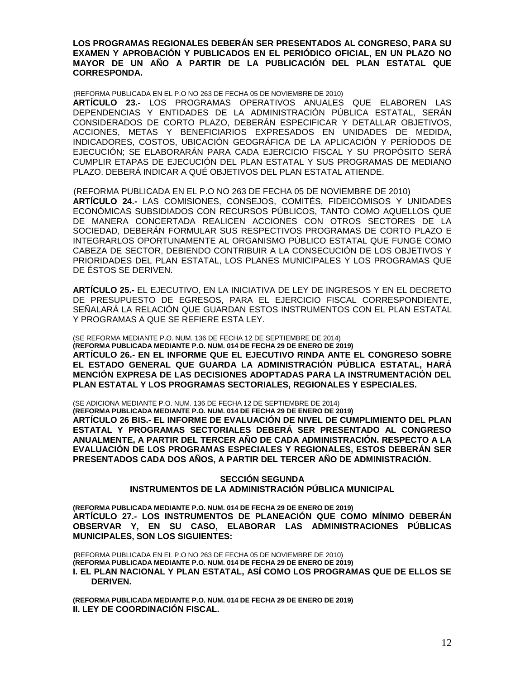**LOS PROGRAMAS REGIONALES DEBERÁN SER PRESENTADOS AL CONGRESO, PARA SU EXAMEN Y APROBACIÓN Y PUBLICADOS EN EL PERIÓDICO OFICIAL, EN UN PLAZO NO MAYOR DE UN AÑO A PARTIR DE LA PUBLICACIÓN DEL PLAN ESTATAL QUE CORRESPONDA.**

(REFORMA PUBLICADA EN EL P.O NO 263 DE FECHA 05 DE NOVIEMBRE DE 2010)

**ARTÍCULO 23.-** LOS PROGRAMAS OPERATIVOS ANUALES QUE ELABOREN LAS DEPENDENCIAS Y ENTIDADES DE LA ADMINISTRACIÓN PÚBLICA ESTATAL, SERÁN CONSIDERADOS DE CORTO PLAZO, DEBERÁN ESPECIFICAR Y DETALLAR OBJETIVOS, ACCIONES, METAS Y BENEFICIARIOS EXPRESADOS EN UNIDADES DE MEDIDA, INDICADORES, COSTOS, UBICACIÓN GEOGRÁFICA DE LA APLICACIÓN Y PERÍODOS DE EJECUCIÓN; SE ELABORARÁN PARA CADA EJERCICIO FISCAL Y SU PROPÓSITO SERÁ CUMPLIR ETAPAS DE EJECUCIÓN DEL PLAN ESTATAL Y SUS PROGRAMAS DE MEDIANO PLAZO. DEBERÁ INDICAR A QUÉ OBJETIVOS DEL PLAN ESTATAL ATIENDE.

(REFORMA PUBLICADA EN EL P.O NO 263 DE FECHA 05 DE NOVIEMBRE DE 2010) **ARTÍCULO 24.-** LAS COMISIONES, CONSEJOS, COMITÉS, FIDEICOMISOS Y UNIDADES ECONÓMICAS SUBSIDIADOS CON RECURSOS PÚBLICOS, TANTO COMO AQUELLOS QUE DE MANERA CONCERTADA REALICEN ACCIONES CON OTROS SECTORES DE LA SOCIEDAD, DEBERÁN FORMULAR SUS RESPECTIVOS PROGRAMAS DE CORTO PLAZO E INTEGRARLOS OPORTUNAMENTE AL ORGANISMO PÚBLICO ESTATAL QUE FUNGE COMO CABEZA DE SECTOR, DEBIENDO CONTRIBUIR A LA CONSECUCIÓN DE LOS OBJETIVOS Y PRIORIDADES DEL PLAN ESTATAL, LOS PLANES MUNICIPALES Y LOS PROGRAMAS QUE DE ÉSTOS SE DERIVEN.

**ARTÍCULO 25.-** EL EJECUTIVO, EN LA INICIATIVA DE LEY DE INGRESOS Y EN EL DECRETO DE PRESUPUESTO DE EGRESOS, PARA EL EJERCICIO FISCAL CORRESPONDIENTE, SEÑALARÁ LA RELACIÓN QUE GUARDAN ESTOS INSTRUMENTOS CON EL PLAN ESTATAL Y PROGRAMAS A QUE SE REFIERE ESTA LEY.

(SE REFORMA MEDIANTE P.O. NUM. 136 DE FECHA 12 DE SEPTIEMBRE DE 2014) **(REFORMA PUBLICADA MEDIANTE P.O. NUM. 014 DE FECHA 29 DE ENERO DE 2019) ARTÍCULO 26.- EN EL INFORME QUE EL EJECUTIVO RINDA ANTE EL CONGRESO SOBRE EL ESTADO GENERAL QUE GUARDA LA ADMINISTRACIÓN PÚBLICA ESTATAL, HARÁ MENCIÓN EXPRESA DE LAS DECISIONES ADOPTADAS PARA LA INSTRUMENTACIÓN DEL PLAN ESTATAL Y LOS PROGRAMAS SECTORIALES, REGIONALES Y ESPECIALES.**

(SE ADICIONA MEDIANTE P.O. NUM. 136 DE FECHA 12 DE SEPTIEMBRE DE 2014)

**(REFORMA PUBLICADA MEDIANTE P.O. NUM. 014 DE FECHA 29 DE ENERO DE 2019) ARTÍCULO 26 BIS.- EL INFORME DE EVALUACIÓN DE NIVEL DE CUMPLIMIENTO DEL PLAN ESTATAL Y PROGRAMAS SECTORIALES DEBERÁ SER PRESENTADO AL CONGRESO ANUALMENTE, A PARTIR DEL TERCER AÑO DE CADA ADMINISTRACIÓN. RESPECTO A LA EVALUACIÓN DE LOS PROGRAMAS ESPECIALES Y REGIONALES, ESTOS DEBERÁN SER PRESENTADOS CADA DOS AÑOS, A PARTIR DEL TERCER AÑO DE ADMINISTRACIÓN.** 

### **SECCIÓN SEGUNDA INSTRUMENTOS DE LA ADMINISTRACIÓN PÚBLICA MUNICIPAL**

**(REFORMA PUBLICADA MEDIANTE P.O. NUM. 014 DE FECHA 29 DE ENERO DE 2019) ARTÍCULO 27.- LOS INSTRUMENTOS DE PLANEACIÓN QUE COMO MÍNIMO DEBERÁN OBSERVAR Y, EN SU CASO, ELABORAR LAS ADMINISTRACIONES PÚBLICAS MUNICIPALES, SON LOS SIGUIENTES:**

**(**REFORMA PUBLICADA EN EL P.O NO 263 DE FECHA 05 DE NOVIEMBRE DE 2010) **(REFORMA PUBLICADA MEDIANTE P.O. NUM. 014 DE FECHA 29 DE ENERO DE 2019) I. EL PLAN NACIONAL Y PLAN ESTATAL, ASÍ COMO LOS PROGRAMAS QUE DE ELLOS SE DERIVEN.**

**(REFORMA PUBLICADA MEDIANTE P.O. NUM. 014 DE FECHA 29 DE ENERO DE 2019) II. LEY DE COORDINACIÓN FISCAL.**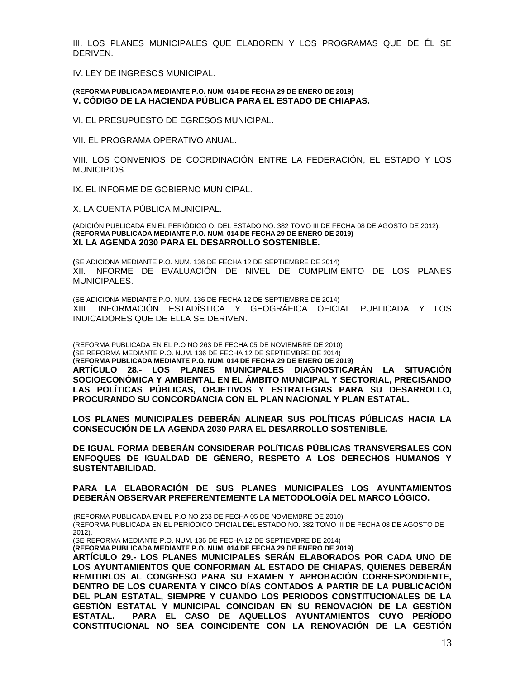III. LOS PLANES MUNICIPALES QUE ELABOREN Y LOS PROGRAMAS QUE DE ÉL SE DERIVEN.

IV. LEY DE INGRESOS MUNICIPAL.

#### **(REFORMA PUBLICADA MEDIANTE P.O. NUM. 014 DE FECHA 29 DE ENERO DE 2019) V. CÓDIGO DE LA HACIENDA PÚBLICA PARA EL ESTADO DE CHIAPAS.**

VI. EL PRESUPUESTO DE EGRESOS MUNICIPAL.

VII. EL PROGRAMA OPERATIVO ANUAL.

VIII. LOS CONVENIOS DE COORDINACIÓN ENTRE LA FEDERACIÓN, EL ESTADO Y LOS MUNICIPIOS.

IX. EL INFORME DE GOBIERNO MUNICIPAL.

X. LA CUENTA PÚBLICA MUNICIPAL.

(ADICIÓN PUBLICADA EN EL PERIÓDICO O. DEL ESTADO NO. 382 TOMO III DE FECHA 08 DE AGOSTO DE 2012). **(REFORMA PUBLICADA MEDIANTE P.O. NUM. 014 DE FECHA 29 DE ENERO DE 2019) XI. LA AGENDA 2030 PARA EL DESARROLLO SOSTENIBLE.**

**(**SE ADICIONA MEDIANTE P.O. NUM. 136 DE FECHA 12 DE SEPTIEMBRE DE 2014) XII. INFORME DE EVALUACIÓN DE NIVEL DE CUMPLIMIENTO DE LOS PLANES MUNICIPALES.

(SE ADICIONA MEDIANTE P.O. NUM. 136 DE FECHA 12 DE SEPTIEMBRE DE 2014) XIII. INFORMACIÓN ESTADÍSTICA Y GEOGRÁFICA OFICIAL PUBLICADA Y LOS INDICADORES QUE DE ELLA SE DERIVEN.

(REFORMA PUBLICADA EN EL P.O NO 263 DE FECHA 05 DE NOVIEMBRE DE 2010) **(**SE REFORMA MEDIANTE P.O. NUM. 136 DE FECHA 12 DE SEPTIEMBRE DE 2014) **(REFORMA PUBLICADA MEDIANTE P.O. NUM. 014 DE FECHA 29 DE ENERO DE 2019) ARTÍCULO 28.- LOS PLANES MUNICIPALES DIAGNOSTICARÁN LA SITUACIÓN SOCIOECONÓMICA Y AMBIENTAL EN EL ÁMBITO MUNICIPAL Y SECTORIAL, PRECISANDO LAS POLÍTICAS PÚBLICAS, OBJETIVOS Y ESTRATEGIAS PARA SU DESARROLLO, PROCURANDO SU CONCORDANCIA CON EL PLAN NACIONAL Y PLAN ESTATAL.**

**LOS PLANES MUNICIPALES DEBERÁN ALINEAR SUS POLÍTICAS PÚBLICAS HACIA LA CONSECUCIÓN DE LA AGENDA 2030 PARA EL DESARROLLO SOSTENIBLE.**

**DE IGUAL FORMA DEBERÁN CONSIDERAR POLÍTICAS PÚBLICAS TRANSVERSALES CON ENFOQUES DE IGUALDAD DE GÉNERO, RESPETO A LOS DERECHOS HUMANOS Y SUSTENTABILIDAD.**

**PARA LA ELABORACIÓN DE SUS PLANES MUNICIPALES LOS AYUNTAMIENTOS DEBERÁN OBSERVAR PREFERENTEMENTE LA METODOLOGÍA DEL MARCO LÓGICO.**

(REFORMA PUBLICADA EN EL P.O NO 263 DE FECHA 05 DE NOVIEMBRE DE 2010) (REFORMA PUBLICADA EN EL PERIÓDICO OFICIAL DEL ESTADO NO. 382 TOMO III DE FECHA 08 DE AGOSTO DE  $2012$ ).

(SE REFORMA MEDIANTE P.O. NUM. 136 DE FECHA 12 DE SEPTIEMBRE DE 2014)

**(REFORMA PUBLICADA MEDIANTE P.O. NUM. 014 DE FECHA 29 DE ENERO DE 2019)**

**ARTÍCULO 29.- LOS PLANES MUNICIPALES SERÁN ELABORADOS POR CADA UNO DE LOS AYUNTAMIENTOS QUE CONFORMAN AL ESTADO DE CHIAPAS, QUIENES DEBERÁN REMITIRLOS AL CONGRESO PARA SU EXAMEN Y APROBACIÓN CORRESPONDIENTE, DENTRO DE LOS CUARENTA Y CINCO DÍAS CONTADOS A PARTIR DE LA PUBLICACIÓN DEL PLAN ESTATAL, SIEMPRE Y CUANDO LOS PERIODOS CONSTITUCIONALES DE LA GESTIÓN ESTATAL Y MUNICIPAL COINCIDAN EN SU RENOVACIÓN DE LA GESTIÓN ESTATAL. PARA EL CASO DE AQUELLOS AYUNTAMIENTOS CUYO PERÍODO CONSTITUCIONAL NO SEA COINCIDENTE CON LA RENOVACIÓN DE LA GESTIÓN**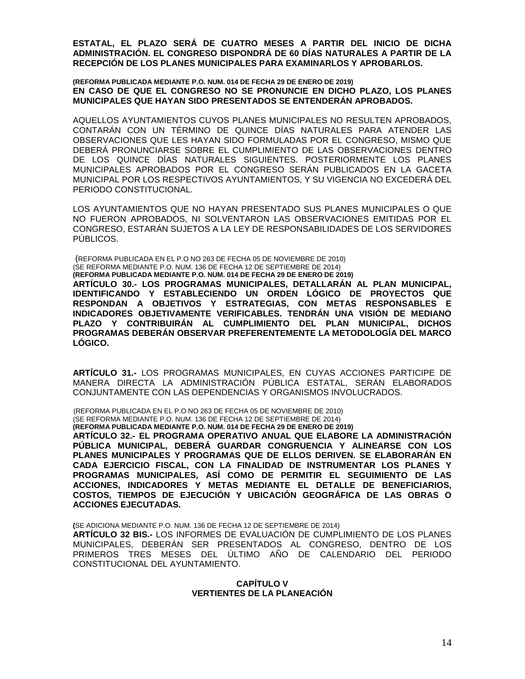**ESTATAL, EL PLAZO SERÁ DE CUATRO MESES A PARTIR DEL INICIO DE DICHA ADMINISTRACIÓN. EL CONGRESO DISPONDRÁ DE 60 DÍAS NATURALES A PARTIR DE LA RECEPCIÓN DE LOS PLANES MUNICIPALES PARA EXAMINARLOS Y APROBARLOS.**

**(REFORMA PUBLICADA MEDIANTE P.O. NUM. 014 DE FECHA 29 DE ENERO DE 2019) EN CASO DE QUE EL CONGRESO NO SE PRONUNCIE EN DICHO PLAZO, LOS PLANES MUNICIPALES QUE HAYAN SIDO PRESENTADOS SE ENTENDERÁN APROBADOS.**

AQUELLOS AYUNTAMIENTOS CUYOS PLANES MUNICIPALES NO RESULTEN APROBADOS, CONTARÁN CON UN TÉRMINO DE QUINCE DÍAS NATURALES PARA ATENDER LAS OBSERVACIONES QUE LES HAYAN SIDO FORMULADAS POR EL CONGRESO, MISMO QUE DEBERÁ PRONUNCIARSE SOBRE EL CUMPLIMIENTO DE LAS OBSERVACIONES DENTRO DE LOS QUINCE DÍAS NATURALES SIGUIENTES. POSTERIORMENTE LOS PLANES MUNICIPALES APROBADOS POR EL CONGRESO SERÁN PUBLICADOS EN LA GACETA MUNICIPAL POR LOS RESPECTIVOS AYUNTAMIENTOS, Y SU VIGENCIA NO EXCEDERÁ DEL PERIODO CONSTITUCIONAL.

LOS AYUNTAMIENTOS QUE NO HAYAN PRESENTADO SUS PLANES MUNICIPALES O QUE NO FUERON APROBADOS, NI SOLVENTARON LAS OBSERVACIONES EMITIDAS POR EL CONGRESO, ESTARÁN SUJETOS A LA LEY DE RESPONSABILIDADES DE LOS SERVIDORES PÚBLICOS.

(REFORMA PUBLICADA EN EL P.O NO 263 DE FECHA 05 DE NOVIEMBRE DE 2010) (SE REFORMA MEDIANTE P.O. NUM. 136 DE FECHA 12 DE SEPTIEMBRE DE 2014) **(REFORMA PUBLICADA MEDIANTE P.O. NUM. 014 DE FECHA 29 DE ENERO DE 2019) ARTÍCULO 30.- LOS PROGRAMAS MUNICIPALES, DETALLARÁN AL PLAN MUNICIPAL, IDENTIFICANDO Y ESTABLECIENDO UN ORDEN LÓGICO DE PROYECTOS QUE RESPONDAN A OBJETIVOS Y ESTRATEGIAS, CON METAS RESPONSABLES E INDICADORES OBJETIVAMENTE VERIFICABLES. TENDRÁN UNA VISIÓN DE MEDIANO PLAZO Y CONTRIBUIRÁN AL CUMPLIMIENTO DEL PLAN MUNICIPAL, DICHOS PROGRAMAS DEBERÁN OBSERVAR PREFERENTEMENTE LA METODOLOGÍA DEL MARCO LÓGICO.**

**ARTÍCULO 31.-** LOS PROGRAMAS MUNICIPALES, EN CUYAS ACCIONES PARTICIPE DE MANERA DIRECTA LA ADMINISTRACIÓN PÚBLICA ESTATAL, SERÁN ELABORADOS CONJUNTAMENTE CON LAS DEPENDENCIAS Y ORGANISMOS INVOLUCRADOS.

(REFORMA PUBLICADA EN EL P.O NO 263 DE FECHA 05 DE NOVIEMBRE DE 2010) (SE REFORMA MEDIANTE P.O. NUM. 136 DE FECHA 12 DE SEPTIEMBRE DE 2014) **(REFORMA PUBLICADA MEDIANTE P.O. NUM. 014 DE FECHA 29 DE ENERO DE 2019)**

**ARTÍCULO 32.- EL PROGRAMA OPERATIVO ANUAL QUE ELABORE LA ADMINISTRACIÓN PÚBLICA MUNICIPAL, DEBERÁ GUARDAR CONGRUENCIA Y ALINEARSE CON LOS PLANES MUNICIPALES Y PROGRAMAS QUE DE ELLOS DERIVEN. SE ELABORARÁN EN CADA EJERCICIO FISCAL, CON LA FINALIDAD DE INSTRUMENTAR LOS PLANES Y PROGRAMAS MUNICIPALES, ASÍ COMO DE PERMITIR EL SEGUIMIENTO DE LAS ACCIONES, INDICADORES Y METAS MEDIANTE EL DETALLE DE BENEFICIARIOS, COSTOS, TIEMPOS DE EJECUCIÓN Y UBICACIÓN GEOGRÁFICA DE LAS OBRAS O ACCIONES EJECUTADAS.**

**(**SE ADICIONA MEDIANTE P.O. NUM. 136 DE FECHA 12 DE SEPTIEMBRE DE 2014)

**ARTÍCULO 32 BIS.-** LOS INFORMES DE EVALUACIÓN DE CUMPLIMIENTO DE LOS PLANES MUNICIPALES, DEBERÁN SER PRESENTADOS AL CONGRESO, DENTRO DE LOS PRIMEROS TRES MESES DEL ÚLTIMO AÑO DE CALENDARIO DEL PERIODO CONSTITUCIONAL DEL AYUNTAMIENTO.

# **CAPÍTULO V VERTIENTES DE LA PLANEACIÓN**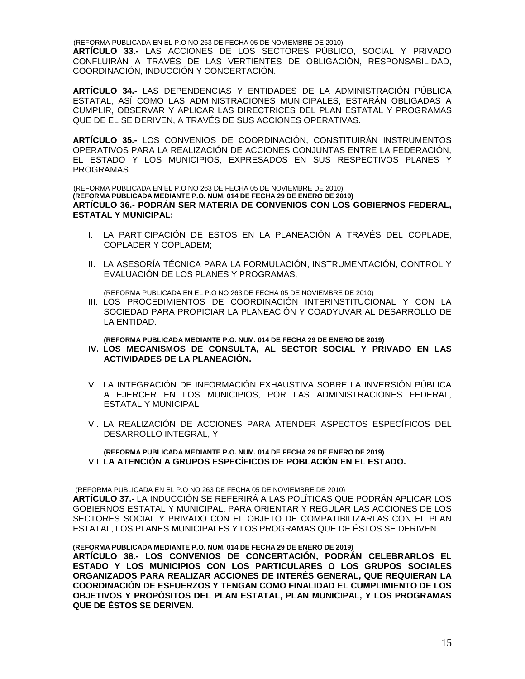(REFORMA PUBLICADA EN EL P.O NO 263 DE FECHA 05 DE NOVIEMBRE DE 2010)

**ARTÍCULO 33.-** LAS ACCIONES DE LOS SECTORES PÚBLICO, SOCIAL Y PRIVADO CONFLUIRÁN A TRAVÉS DE LAS VERTIENTES DE OBLIGACIÓN, RESPONSABILIDAD, COORDINACIÓN, INDUCCIÓN Y CONCERTACIÓN.

**ARTÍCULO 34.-** LAS DEPENDENCIAS Y ENTIDADES DE LA ADMINISTRACIÓN PÚBLICA ESTATAL, ASÍ COMO LAS ADMINISTRACIONES MUNICIPALES, ESTARÁN OBLIGADAS A CUMPLIR, OBSERVAR Y APLICAR LAS DIRECTRICES DEL PLAN ESTATAL Y PROGRAMAS QUE DE EL SE DERIVEN, A TRAVÉS DE SUS ACCIONES OPERATIVAS.

**ARTÍCULO 35.-** LOS CONVENIOS DE COORDINACIÓN, CONSTITUIRÁN INSTRUMENTOS OPERATIVOS PARA LA REALIZACIÓN DE ACCIONES CONJUNTAS ENTRE LA FEDERACIÓN, EL ESTADO Y LOS MUNICIPIOS, EXPRESADOS EN SUS RESPECTIVOS PLANES Y PROGRAMAS.

(REFORMA PUBLICADA EN EL P.O NO 263 DE FECHA 05 DE NOVIEMBRE DE 2010) **(REFORMA PUBLICADA MEDIANTE P.O. NUM. 014 DE FECHA 29 DE ENERO DE 2019) ARTÍCULO 36.- PODRÁN SER MATERIA DE CONVENIOS CON LOS GOBIERNOS FEDERAL, ESTATAL Y MUNICIPAL:**

- I. LA PARTICIPACIÓN DE ESTOS EN LA PLANEACIÓN A TRAVÉS DEL COPLADE, COPLADER Y COPLADEM;
- II. LA ASESORÍA TÉCNICA PARA LA FORMULACIÓN, INSTRUMENTACIÓN, CONTROL Y EVALUACIÓN DE LOS PLANES Y PROGRAMAS;

(REFORMA PUBLICADA EN EL P.O NO 263 DE FECHA 05 DE NOVIEMBRE DE 2010)

III. LOS PROCEDIMIENTOS DE COORDINACIÓN INTERINSTITUCIONAL Y CON LA SOCIEDAD PARA PROPICIAR LA PLANEACIÓN Y COADYUVAR AL DESARROLLO DE LA ENTIDAD.

**(REFORMA PUBLICADA MEDIANTE P.O. NUM. 014 DE FECHA 29 DE ENERO DE 2019)**

- **IV. LOS MECANISMOS DE CONSULTA, AL SECTOR SOCIAL Y PRIVADO EN LAS ACTIVIDADES DE LA PLANEACIÓN.**
- V. LA INTEGRACIÓN DE INFORMACIÓN EXHAUSTIVA SOBRE LA INVERSIÓN PÚBLICA A EJERCER EN LOS MUNICIPIOS, POR LAS ADMINISTRACIONES FEDERAL, ESTATAL Y MUNICIPAL;
- VI. LA REALIZACIÓN DE ACCIONES PARA ATENDER ASPECTOS ESPECÍFICOS DEL DESARROLLO INTEGRAL, Y

### **(REFORMA PUBLICADA MEDIANTE P.O. NUM. 014 DE FECHA 29 DE ENERO DE 2019)** VII. **LA ATENCIÓN A GRUPOS ESPECÍFICOS DE POBLACIÓN EN EL ESTADO.**

(REFORMA PUBLICADA EN EL P.O NO 263 DE FECHA 05 DE NOVIEMBRE DE 2010) **ARTÍCULO 37.-** LA INDUCCIÓN SE REFERIRÁ A LAS POLÍTICAS QUE PODRÁN APLICAR LOS GOBIERNOS ESTATAL Y MUNICIPAL, PARA ORIENTAR Y REGULAR LAS ACCIONES DE LOS SECTORES SOCIAL Y PRIVADO CON EL OBJETO DE COMPATIBILIZARLAS CON EL PLAN ESTATAL, LOS PLANES MUNICIPALES Y LOS PROGRAMAS QUE DE ÉSTOS SE DERIVEN.

**(REFORMA PUBLICADA MEDIANTE P.O. NUM. 014 DE FECHA 29 DE ENERO DE 2019)**

**ARTÍCULO 38.- LOS CONVENIOS DE CONCERTACIÓN, PODRÁN CELEBRARLOS EL ESTADO Y LOS MUNICIPIOS CON LOS PARTICULARES O LOS GRUPOS SOCIALES ORGANIZADOS PARA REALIZAR ACCIONES DE INTERÉS GENERAL, QUE REQUIERAN LA COORDINACIÓN DE ESFUERZOS Y TENGAN COMO FINALIDAD EL CUMPLIMIENTO DE LOS OBJETIVOS Y PROPÓSITOS DEL PLAN ESTATAL, PLAN MUNICIPAL, Y LOS PROGRAMAS QUE DE ÉSTOS SE DERIVEN.**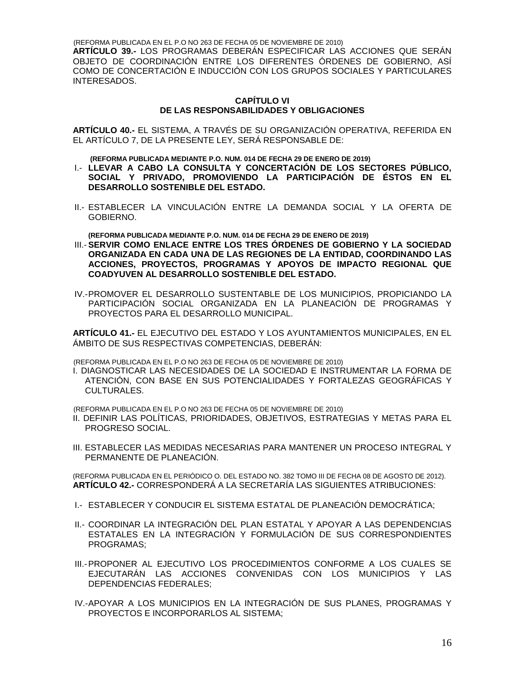(REFORMA PUBLICADA EN EL P.O NO 263 DE FECHA 05 DE NOVIEMBRE DE 2010) **ARTÍCULO 39.-** LOS PROGRAMAS DEBERÁN ESPECIFICAR LAS ACCIONES QUE SERÁN OBJETO DE COORDINACIÓN ENTRE LOS DIFERENTES ÓRDENES DE GOBIERNO, ASÍ COMO DE CONCERTACIÓN E INDUCCIÓN CON LOS GRUPOS SOCIALES Y PARTICULARES INTERESADOS.

# **CAPÍTULO VI DE LAS RESPONSABILIDADES Y OBLIGACIONES**

**ARTÍCULO 40.-** EL SISTEMA, A TRAVÉS DE SU ORGANIZACIÓN OPERATIVA, REFERIDA EN EL ARTÍCULO 7, DE LA PRESENTE LEY, SERÁ RESPONSABLE DE:

 **(REFORMA PUBLICADA MEDIANTE P.O. NUM. 014 DE FECHA 29 DE ENERO DE 2019)**

- I.- **LLEVAR A CABO LA CONSULTA Y CONCERTACIÓN DE LOS SECTORES PÚBLICO, SOCIAL Y PRIVADO, PROMOVIENDO LA PARTICIPACIÓN DE ÉSTOS EN EL DESARROLLO SOSTENIBLE DEL ESTADO.**
- II.- ESTABLECER LA VINCULACIÓN ENTRE LA DEMANDA SOCIAL Y LA OFERTA DE GOBIERNO.

 **(REFORMA PUBLICADA MEDIANTE P.O. NUM. 014 DE FECHA 29 DE ENERO DE 2019)**

- III.- **SERVIR COMO ENLACE ENTRE LOS TRES ÓRDENES DE GOBIERNO Y LA SOCIEDAD ORGANIZADA EN CADA UNA DE LAS REGIONES DE LA ENTIDAD, COORDINANDO LAS ACCIONES, PROYECTOS, PROGRAMAS Y APOYOS DE IMPACTO REGIONAL QUE COADYUVEN AL DESARROLLO SOSTENIBLE DEL ESTADO.**
- IV.-PROMOVER EL DESARROLLO SUSTENTABLE DE LOS MUNICIPIOS, PROPICIANDO LA PARTICIPACIÓN SOCIAL ORGANIZADA EN LA PLANEACIÓN DE PROGRAMAS Y PROYECTOS PARA EL DESARROLLO MUNICIPAL.

**ARTÍCULO 41.-** EL EJECUTIVO DEL ESTADO Y LOS AYUNTAMIENTOS MUNICIPALES, EN EL ÁMBITO DE SUS RESPECTIVAS COMPETENCIAS, DEBERÁN:

(REFORMA PUBLICADA EN EL P.O NO 263 DE FECHA 05 DE NOVIEMBRE DE 2010)

I. DIAGNOSTICAR LAS NECESIDADES DE LA SOCIEDAD E INSTRUMENTAR LA FORMA DE ATENCIÓN, CON BASE EN SUS POTENCIALIDADES Y FORTALEZAS GEOGRÁFICAS Y CULTURALES.

(REFORMA PUBLICADA EN EL P.O NO 263 DE FECHA 05 DE NOVIEMBRE DE 2010)

- II. DEFINIR LAS POLÍTICAS, PRIORIDADES, OBJETIVOS, ESTRATEGIAS Y METAS PARA EL PROGRESO SOCIAL.
- III. ESTABLECER LAS MEDIDAS NECESARIAS PARA MANTENER UN PROCESO INTEGRAL Y PERMANENTE DE PLANEACIÓN.

(REFORMA PUBLICADA EN EL PERIÓDICO O. DEL ESTADO NO. 382 TOMO III DE FECHA 08 DE AGOSTO DE 2012). **ARTÍCULO 42.-** CORRESPONDERÁ A LA SECRETARÍA LAS SIGUIENTES ATRIBUCIONES:

- I.- ESTABLECER Y CONDUCIR EL SISTEMA ESTATAL DE PLANEACIÓN DEMOCRÁTICA;
- II.- COORDINAR LA INTEGRACIÓN DEL PLAN ESTATAL Y APOYAR A LAS DEPENDENCIAS ESTATALES EN LA INTEGRACIÓN Y FORMULACIÓN DE SUS CORRESPONDIENTES PROGRAMAS;
- III.-PROPONER AL EJECUTIVO LOS PROCEDIMIENTOS CONFORME A LOS CUALES SE EJECUTARÁN LAS ACCIONES CONVENIDAS CON LOS MUNICIPIOS Y LAS DEPENDENCIAS FEDERALES;
- IV.-APOYAR A LOS MUNICIPIOS EN LA INTEGRACIÓN DE SUS PLANES, PROGRAMAS Y PROYECTOS E INCORPORARLOS AL SISTEMA;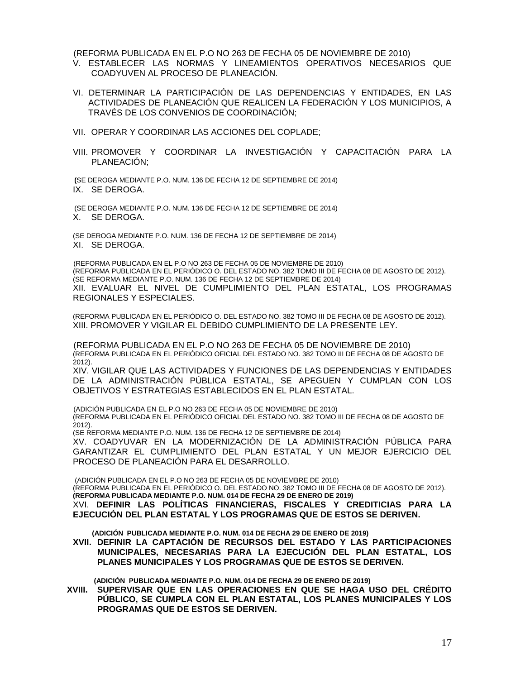(REFORMA PUBLICADA EN EL P.O NO 263 DE FECHA 05 DE NOVIEMBRE DE 2010)

- V. ESTABLECER LAS NORMAS Y LINEAMIENTOS OPERATIVOS NECESARIOS QUE COADYUVEN AL PROCESO DE PLANEACIÓN.
- VI. DETERMINAR LA PARTICIPACIÓN DE LAS DEPENDENCIAS Y ENTIDADES, EN LAS ACTIVIDADES DE PLANEACIÓN QUE REALICEN LA FEDERACIÓN Y LOS MUNICIPIOS, A TRAVÉS DE LOS CONVENIOS DE COORDINACIÓN;
- VII. OPERAR Y COORDINAR LAS ACCIONES DEL COPLADE;
- VIII. PROMOVER Y COORDINAR LA INVESTIGACIÓN Y CAPACITACIÓN PARA LA PLANEACIÓN;

**(**SE DEROGA MEDIANTE P.O. NUM. 136 DE FECHA 12 DE SEPTIEMBRE DE 2014) IX. SE DEROGA.

(SE DEROGA MEDIANTE P.O. NUM. 136 DE FECHA 12 DE SEPTIEMBRE DE 2014) X. SE DEROGA.

(SE DEROGA MEDIANTE P.O. NUM. 136 DE FECHA 12 DE SEPTIEMBRE DE 2014) XI. SE DEROGA.

(REFORMA PUBLICADA EN EL P.O NO 263 DE FECHA 05 DE NOVIEMBRE DE 2010) (REFORMA PUBLICADA EN EL PERIÓDICO O. DEL ESTADO NO. 382 TOMO III DE FECHA 08 DE AGOSTO DE 2012). (SE REFORMA MEDIANTE P.O. NUM. 136 DE FECHA 12 DE SEPTIEMBRE DE 2014) XII. EVALUAR EL NIVEL DE CUMPLIMIENTO DEL PLAN ESTATAL, LOS PROGRAMAS REGIONALES Y ESPECIALES.

(REFORMA PUBLICADA EN EL PERIÓDICO O. DEL ESTADO NO. 382 TOMO III DE FECHA 08 DE AGOSTO DE 2012). XIII. PROMOVER Y VIGILAR EL DEBIDO CUMPLIMIENTO DE LA PRESENTE LEY.

(REFORMA PUBLICADA EN EL P.O NO 263 DE FECHA 05 DE NOVIEMBRE DE 2010) (REFORMA PUBLICADA EN EL PERIÓDICO OFICIAL DEL ESTADO NO. 382 TOMO III DE FECHA 08 DE AGOSTO DE 2012).

XIV. VIGILAR QUE LAS ACTIVIDADES Y FUNCIONES DE LAS DEPENDENCIAS Y ENTIDADES DE LA ADMINISTRACIÓN PÚBLICA ESTATAL, SE APEGUEN Y CUMPLAN CON LOS OBJETIVOS Y ESTRATEGIAS ESTABLECIDOS EN EL PLAN ESTATAL.

(ADICIÓN PUBLICADA EN EL P.O NO 263 DE FECHA 05 DE NOVIEMBRE DE 2010) (REFORMA PUBLICADA EN EL PERIÓDICO OFICIAL DEL ESTADO NO. 382 TOMO III DE FECHA 08 DE AGOSTO DE 2012).

(SE REFORMA MEDIANTE P.O. NUM. 136 DE FECHA 12 DE SEPTIEMBRE DE 2014)

XV. COADYUVAR EN LA MODERNIZACIÓN DE LA ADMINISTRACIÓN PÚBLICA PARA GARANTIZAR EL CUMPLIMIENTO DEL PLAN ESTATAL Y UN MEJOR EJERCICIO DEL PROCESO DE PLANEACIÓN PARA EL DESARROLLO.

(ADICIÓN PUBLICADA EN EL P.O NO 263 DE FECHA 05 DE NOVIEMBRE DE 2010) (REFORMA PUBLICADA EN EL PERIÓDICO O. DEL ESTADO NO. 382 TOMO III DE FECHA 08 DE AGOSTO DE 2012). **(REFORMA PUBLICADA MEDIANTE P.O. NUM. 014 DE FECHA 29 DE ENERO DE 2019)** XVI. **DEFINIR LAS POLÍTICAS FINANCIERAS, FISCALES Y CREDITICIAS PARA LA EJECUCIÓN DEL PLAN ESTATAL Y LOS PROGRAMAS QUE DE ESTOS SE DERIVEN.**

 **(ADICIÓN PUBLICADA MEDIANTE P.O. NUM. 014 DE FECHA 29 DE ENERO DE 2019)**

**XVII. DEFINIR LA CAPTACIÓN DE RECURSOS DEL ESTADO Y LAS PARTICIPACIONES MUNICIPALES, NECESARIAS PARA LA EJECUCIÓN DEL PLAN ESTATAL, LOS PLANES MUNICIPALES Y LOS PROGRAMAS QUE DE ESTOS SE DERIVEN.**

 **(ADICIÓN PUBLICADA MEDIANTE P.O. NUM. 014 DE FECHA 29 DE ENERO DE 2019)**

**XVIII. SUPERVISAR QUE EN LAS OPERACIONES EN QUE SE HAGA USO DEL CRÉDITO PÚBLICO, SE CUMPLA CON EL PLAN ESTATAL, LOS PLANES MUNICIPALES Y LOS PROGRAMAS QUE DE ESTOS SE DERIVEN.**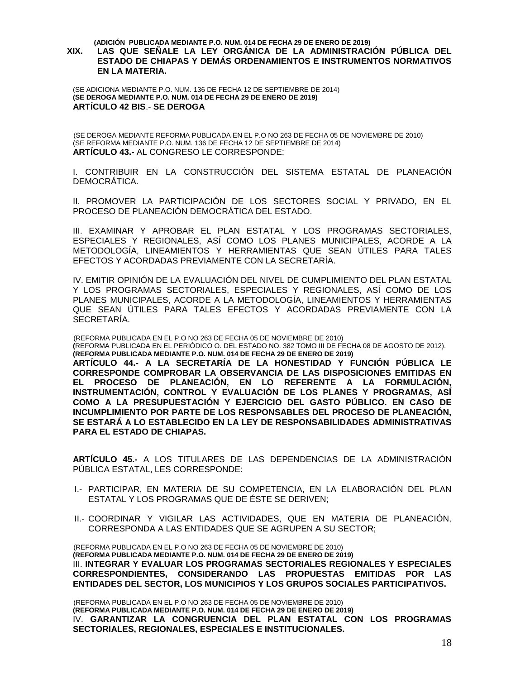#### **(ADICIÓN PUBLICADA MEDIANTE P.O. NUM. 014 DE FECHA 29 DE ENERO DE 2019)**

# **XIX. LAS QUE SEÑALE LA LEY ORGÁNICA DE LA ADMINISTRACIÓN PÚBLICA DEL ESTADO DE CHIAPAS Y DEMÁS ORDENAMIENTOS E INSTRUMENTOS NORMATIVOS EN LA MATERIA.**

(SE ADICIONA MEDIANTE P.O. NUM. 136 DE FECHA 12 DE SEPTIEMBRE DE 2014) **(SE DEROGA MEDIANTE P.O. NUM. 014 DE FECHA 29 DE ENERO DE 2019) ARTÍCULO 42 BIS**.- **SE DEROGA**

(SE DEROGA MEDIANTE REFORMA PUBLICADA EN EL P.O NO 263 DE FECHA 05 DE NOVIEMBRE DE 2010) (SE REFORMA MEDIANTE P.O. NUM. 136 DE FECHA 12 DE SEPTIEMBRE DE 2014) **ARTÍCULO 43.-** AL CONGRESO LE CORRESPONDE:

I. CONTRIBUIR EN LA CONSTRUCCIÓN DEL SISTEMA ESTATAL DE PLANEACIÓN DEMOCRÁTICA.

II. PROMOVER LA PARTICIPACIÓN DE LOS SECTORES SOCIAL Y PRIVADO, EN EL PROCESO DE PLANEACIÓN DEMOCRÁTICA DEL ESTADO.

III. EXAMINAR Y APROBAR EL PLAN ESTATAL Y LOS PROGRAMAS SECTORIALES, ESPECIALES Y REGIONALES, ASÍ COMO LOS PLANES MUNICIPALES, ACORDE A LA METODOLOGÍA, LINEAMIENTOS Y HERRAMIENTAS QUE SEAN ÚTILES PARA TALES EFECTOS Y ACORDADAS PREVIAMENTE CON LA SECRETARÍA.

IV. EMITIR OPINIÓN DE LA EVALUACIÓN DEL NIVEL DE CUMPLIMIENTO DEL PLAN ESTATAL Y LOS PROGRAMAS SECTORIALES, ESPECIALES Y REGIONALES, ASÍ COMO DE LOS PLANES MUNICIPALES, ACORDE A LA METODOLOGÍA, LINEAMIENTOS Y HERRAMIENTAS QUE SEAN ÚTILES PARA TALES EFECTOS Y ACORDADAS PREVIAMENTE CON LA SECRETARÍA.

(REFORMA PUBLICADA EN EL P.O NO 263 DE FECHA 05 DE NOVIEMBRE DE 2010)

**(**REFORMA PUBLICADA EN EL PERIÓDICO O. DEL ESTADO NO. 382 TOMO III DE FECHA 08 DE AGOSTO DE 2012). **(REFORMA PUBLICADA MEDIANTE P.O. NUM. 014 DE FECHA 29 DE ENERO DE 2019)**

**ARTÍCULO 44.- A LA SECRETARÍA DE LA HONESTIDAD Y FUNCIÓN PÚBLICA LE CORRESPONDE COMPROBAR LA OBSERVANCIA DE LAS DISPOSICIONES EMITIDAS EN EL PROCESO DE PLANEACIÓN, EN LO REFERENTE A LA FORMULACIÓN, INSTRUMENTACIÓN, CONTROL Y EVALUACIÓN DE LOS PLANES Y PROGRAMAS, ASÍ COMO A LA PRESUPUESTACIÓN Y EJERCICIO DEL GASTO PÚBLICO. EN CASO DE INCUMPLIMIENTO POR PARTE DE LOS RESPONSABLES DEL PROCESO DE PLANEACIÓN, SE ESTARÁ A LO ESTABLECIDO EN LA LEY DE RESPONSABILIDADES ADMINISTRATIVAS PARA EL ESTADO DE CHIAPAS.**

**ARTÍCULO 45.-** A LOS TITULARES DE LAS DEPENDENCIAS DE LA ADMINISTRACIÓN PÚBLICA ESTATAL, LES CORRESPONDE:

- I.- PARTICIPAR, EN MATERIA DE SU COMPETENCIA, EN LA ELABORACIÓN DEL PLAN ESTATAL Y LOS PROGRAMAS QUE DE ÉSTE SE DERIVEN;
- II.- COORDINAR Y VIGILAR LAS ACTIVIDADES, QUE EN MATERIA DE PLANEACIÓN, CORRESPONDA A LAS ENTIDADES QUE SE AGRUPEN A SU SECTOR;

(REFORMA PUBLICADA EN EL P.O NO 263 DE FECHA 05 DE NOVIEMBRE DE 2010) **(REFORMA PUBLICADA MEDIANTE P.O. NUM. 014 DE FECHA 29 DE ENERO DE 2019)** III. **INTEGRAR Y EVALUAR LOS PROGRAMAS SECTORIALES REGIONALES Y ESPECIALES CORRESPONDIENTES, CONSIDERANDO LAS PROPUESTAS EMITIDAS POR LAS ENTIDADES DEL SECTOR, LOS MUNICIPIOS Y LOS GRUPOS SOCIALES PARTICIPATIVOS.**

(REFORMA PUBLICADA EN EL P.O NO 263 DE FECHA 05 DE NOVIEMBRE DE 2010) **(REFORMA PUBLICADA MEDIANTE P.O. NUM. 014 DE FECHA 29 DE ENERO DE 2019)** IV. **GARANTIZAR LA CONGRUENCIA DEL PLAN ESTATAL CON LOS PROGRAMAS SECTORIALES, REGIONALES, ESPECIALES E INSTITUCIONALES.**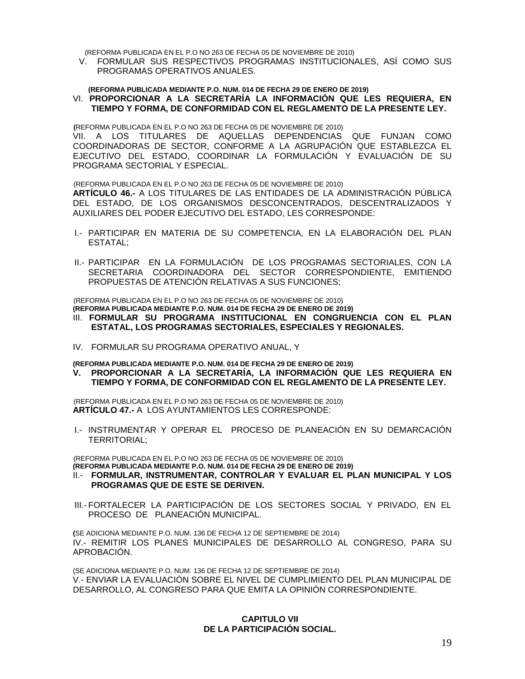(REFORMA PUBLICADA EN EL P.O NO 263 DE FECHA 05 DE NOVIEMBRE DE 2010)

V. FORMULAR SUS RESPECTIVOS PROGRAMAS INSTITUCIONALES, ASÍ COMO SUS PROGRAMAS OPERATIVOS ANUALES.

#### **(REFORMA PUBLICADA MEDIANTE P.O. NUM. 014 DE FECHA 29 DE ENERO DE 2019)** VI. **PROPORCIONAR A LA SECRETARÍA LA INFORMACIÓN QUE LES REQUIERA, EN TIEMPO Y FORMA, DE CONFORMIDAD CON EL REGLAMENTO DE LA PRESENTE LEY.**

**(**REFORMA PUBLICADA EN EL P.O NO 263 DE FECHA 05 DE NOVIEMBRE DE 2010) VII. A LOS TITULARES DE AQUELLAS DEPENDENCIAS QUE FUNJAN COMO COORDINADORAS DE SECTOR, CONFORME A LA AGRUPACIÓN QUE ESTABLEZCA EL EJECUTIVO DEL ESTADO, COORDINAR LA FORMULACIÓN Y EVALUACIÓN DE SU PROGRAMA SECTORIAL Y ESPECIAL.

(REFORMA PUBLICADA EN EL P.O NO 263 DE FECHA 05 DE NOVIEMBRE DE 2010)

**ARTÍCULO 46.-** A LOS TITULARES DE LAS ENTIDADES DE LA ADMINISTRACIÓN PÚBLICA DEL ESTADO, DE LOS ORGANISMOS DESCONCENTRADOS, DESCENTRALIZADOS Y AUXILIARES DEL PODER EJECUTIVO DEL ESTADO, LES CORRESPONDE:

- I.- PARTICIPAR EN MATERIA DE SU COMPETENCIA, EN LA ELABORACIÓN DEL PLAN ESTATAL;
- II.- PARTICIPAR EN LA FORMULACIÓN DE LOS PROGRAMAS SECTORIALES, CON LA SECRETARIA COORDINADORA DEL SECTOR CORRESPONDIENTE, EMITIENDO PROPUESTAS DE ATENCIÓN RELATIVAS A SUS FUNCIONES;

(REFORMA PUBLICADA EN EL P.O NO 263 DE FECHA 05 DE NOVIEMBRE DE 2010)

**(REFORMA PUBLICADA MEDIANTE P.O. NUM. 014 DE FECHA 29 DE ENERO DE 2019)**

- III. **FORMULAR SU PROGRAMA INSTITUCIONAL EN CONGRUENCIA CON EL PLAN ESTATAL, LOS PROGRAMAS SECTORIALES, ESPECIALES Y REGIONALES.**
- IV. FORMULAR SU PROGRAMA OPERATIVO ANUAL, Y

**(REFORMA PUBLICADA MEDIANTE P.O. NUM. 014 DE FECHA 29 DE ENERO DE 2019)**

**V. PROPORCIONAR A LA SECRETARÍA, LA INFORMACIÓN QUE LES REQUIERA EN TIEMPO Y FORMA, DE CONFORMIDAD CON EL REGLAMENTO DE LA PRESENTE LEY.**

(REFORMA PUBLICADA EN EL P.O NO 263 DE FECHA 05 DE NOVIEMBRE DE 2010) **ARTÍCULO 47.-** A LOS AYUNTAMIENTOS LES CORRESPONDE:

I.- INSTRUMENTAR Y OPERAR EL PROCESO DE PLANEACIÓN EN SU DEMARCACIÓN TERRITORIAL;

(REFORMA PUBLICADA EN EL P.O NO 263 DE FECHA 05 DE NOVIEMBRE DE 2010)

- **(REFORMA PUBLICADA MEDIANTE P.O. NUM. 014 DE FECHA 29 DE ENERO DE 2019)**
- II.- **FORMULAR, INSTRUMENTAR, CONTROLAR Y EVALUAR EL PLAN MUNICIPAL Y LOS PROGRAMAS QUE DE ESTE SE DERIVEN.**
- III.- FORTALECER LA PARTICIPACIÓN DE LOS SECTORES SOCIAL Y PRIVADO, EN EL PROCESO DE PLANEACIÓN MUNICIPAL.

**(**SE ADICIONA MEDIANTE P.O. NUM. 136 DE FECHA 12 DE SEPTIEMBRE DE 2014) IV.- REMITIR LOS PLANES MUNICIPALES DE DESARROLLO AL CONGRESO, PARA SU APROBACIÓN.

(SE ADICIONA MEDIANTE P.O. NUM. 136 DE FECHA 12 DE SEPTIEMBRE DE 2014) V.- ENVIAR LA EVALUACIÓN SOBRE EL NIVEL DE CUMPLIMIENTO DEL PLAN MUNICIPAL DE DESARROLLO, AL CONGRESO PARA QUE EMITA LA OPINIÓN CORRESPONDIENTE.

# **CAPITULO VII DE LA PARTICIPACIÓN SOCIAL.**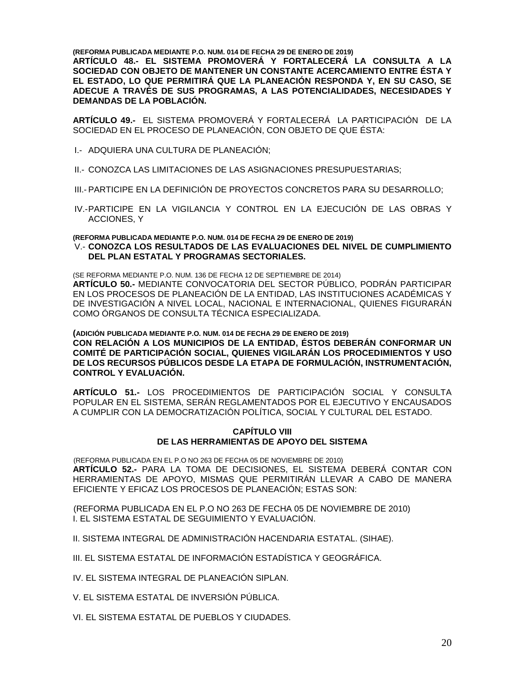**(REFORMA PUBLICADA MEDIANTE P.O. NUM. 014 DE FECHA 29 DE ENERO DE 2019)**

**ARTÍCULO 48.- EL SISTEMA PROMOVERÁ Y FORTALECERÁ LA CONSULTA A LA SOCIEDAD CON OBJETO DE MANTENER UN CONSTANTE ACERCAMIENTO ENTRE ÉSTA Y EL ESTADO, LO QUE PERMITIRÁ QUE LA PLANEACIÓN RESPONDA Y, EN SU CASO, SE ADECUE A TRAVÉS DE SUS PROGRAMAS, A LAS POTENCIALIDADES, NECESIDADES Y DEMANDAS DE LA POBLACIÓN.**

**ARTÍCULO 49.-** EL SISTEMA PROMOVERÁ Y FORTALECERÁ LA PARTICIPACIÓN DE LA SOCIEDAD EN EL PROCESO DE PLANEACIÓN, CON OBJETO DE QUE ÉSTA:

- I.- ADQUIERA UNA CULTURA DE PLANEACIÓN;
- II.- CONOZCA LAS LIMITACIONES DE LAS ASIGNACIONES PRESUPUESTARIAS;
- III.- PARTICIPE EN LA DEFINICIÓN DE PROYECTOS CONCRETOS PARA SU DESARROLLO;
- IV.-PARTICIPE EN LA VIGILANCIA Y CONTROL EN LA EJECUCIÓN DE LAS OBRAS Y ACCIONES, Y

#### **(REFORMA PUBLICADA MEDIANTE P.O. NUM. 014 DE FECHA 29 DE ENERO DE 2019)** V.- **CONOZCA LOS RESULTADOS DE LAS EVALUACIONES DEL NIVEL DE CUMPLIMIENTO DEL PLAN ESTATAL Y PROGRAMAS SECTORIALES.**

(SE REFORMA MEDIANTE P.O. NUM. 136 DE FECHA 12 DE SEPTIEMBRE DE 2014) **ARTÍCULO 50.-** MEDIANTE CONVOCATORIA DEL SECTOR PÚBLICO, PODRÁN PARTICIPAR EN LOS PROCESOS DE PLANEACIÓN DE LA ENTIDAD, LAS INSTITUCIONES ACADÉMICAS Y DE INVESTIGACIÓN A NIVEL LOCAL, NACIONAL E INTERNACIONAL, QUIENES FIGURARÁN COMO ÓRGANOS DE CONSULTA TÉCNICA ESPECIALIZADA.

**(ADICIÓN PUBLICADA MEDIANTE P.O. NUM. 014 DE FECHA 29 DE ENERO DE 2019) CON RELACIÓN A LOS MUNICIPIOS DE LA ENTIDAD, ÉSTOS DEBERÁN CONFORMAR UN COMITÉ DE PARTICIPACIÓN SOCIAL, QUIENES VIGILARÁN LOS PROCEDIMIENTOS Y USO DE LOS RECURSOS PÚBLICOS DESDE LA ETAPA DE FORMULACIÓN, INSTRUMENTACIÓN, CONTROL Y EVALUACIÓN.**

**ARTÍCULO 51.-** LOS PROCEDIMIENTOS DE PARTICIPACIÓN SOCIAL Y CONSULTA POPULAR EN EL SISTEMA, SERÁN REGLAMENTADOS POR EL EJECUTIVO Y ENCAUSADOS A CUMPLIR CON LA DEMOCRATIZACIÓN POLÍTICA, SOCIAL Y CULTURAL DEL ESTADO.

# **CAPÍTULO VIII DE LAS HERRAMIENTAS DE APOYO DEL SISTEMA**

(REFORMA PUBLICADA EN EL P.O NO 263 DE FECHA 05 DE NOVIEMBRE DE 2010) **ARTÍCULO 52.-** PARA LA TOMA DE DECISIONES, EL SISTEMA DEBERÁ CONTAR CON HERRAMIENTAS DE APOYO, MISMAS QUE PERMITIRÁN LLEVAR A CABO DE MANERA EFICIENTE Y EFICAZ LOS PROCESOS DE PLANEACIÓN; ESTAS SON:

(REFORMA PUBLICADA EN EL P.O NO 263 DE FECHA 05 DE NOVIEMBRE DE 2010) I. EL SISTEMA ESTATAL DE SEGUIMIENTO Y EVALUACIÓN.

II. SISTEMA INTEGRAL DE ADMINISTRACIÓN HACENDARIA ESTATAL. (SIHAE).

III. EL SISTEMA ESTATAL DE INFORMACIÓN ESTADÍSTICA Y GEOGRÁFICA.

IV. EL SISTEMA INTEGRAL DE PLANEACIÓN SIPLAN.

V. EL SISTEMA ESTATAL DE INVERSIÓN PÚBLICA.

VI. EL SISTEMA ESTATAL DE PUEBLOS Y CIUDADES.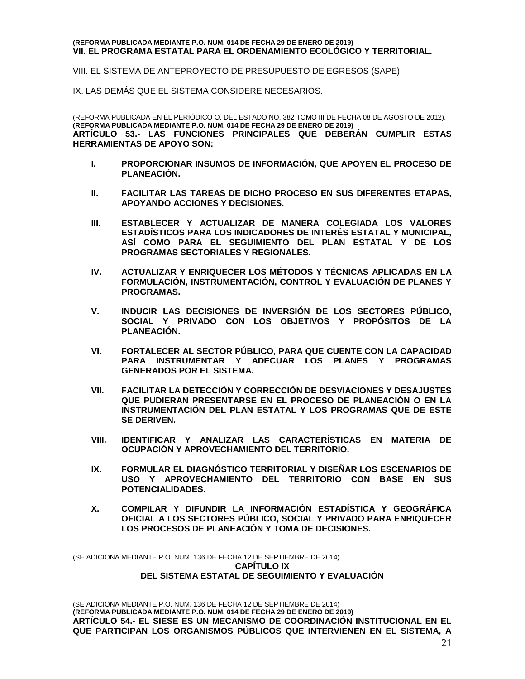#### **(REFORMA PUBLICADA MEDIANTE P.O. NUM. 014 DE FECHA 29 DE ENERO DE 2019) VII. EL PROGRAMA ESTATAL PARA EL ORDENAMIENTO ECOLÓGICO Y TERRITORIAL.**

VIII. EL SISTEMA DE ANTEPROYECTO DE PRESUPUESTO DE EGRESOS (SAPE).

IX. LAS DEMÁS QUE EL SISTEMA CONSIDERE NECESARIOS.

(REFORMA PUBLICADA EN EL PERIÓDICO O. DEL ESTADO NO. 382 TOMO III DE FECHA 08 DE AGOSTO DE 2012). **(REFORMA PUBLICADA MEDIANTE P.O. NUM. 014 DE FECHA 29 DE ENERO DE 2019) ARTÍCULO 53.- LAS FUNCIONES PRINCIPALES QUE DEBERÁN CUMPLIR ESTAS HERRAMIENTAS DE APOYO SON:**

- **I. PROPORCIONAR INSUMOS DE INFORMACIÓN, QUE APOYEN EL PROCESO DE PLANEACIÓN.**
- **II. FACILITAR LAS TAREAS DE DICHO PROCESO EN SUS DIFERENTES ETAPAS, APOYANDO ACCIONES Y DECISIONES.**
- **III. ESTABLECER Y ACTUALIZAR DE MANERA COLEGIADA LOS VALORES ESTADÍSTICOS PARA LOS INDICADORES DE INTERÉS ESTATAL Y MUNICIPAL, ASÍ COMO PARA EL SEGUIMIENTO DEL PLAN ESTATAL Y DE LOS PROGRAMAS SECTORIALES Y REGIONALES.**
- **IV. ACTUALIZAR Y ENRIQUECER LOS MÉTODOS Y TÉCNICAS APLICADAS EN LA FORMULACIÓN, INSTRUMENTACIÓN, CONTROL Y EVALUACIÓN DE PLANES Y PROGRAMAS.**
- **V. INDUCIR LAS DECISIONES DE INVERSIÓN DE LOS SECTORES PÚBLICO, SOCIAL Y PRIVADO CON LOS OBJETIVOS Y PROPÓSITOS DE LA PLANEACIÓN.**
- **VI. FORTALECER AL SECTOR PÚBLICO, PARA QUE CUENTE CON LA CAPACIDAD PARA INSTRUMENTAR Y ADECUAR LOS PLANES Y PROGRAMAS GENERADOS POR EL SISTEMA.**
- **VII. FACILITAR LA DETECCIÓN Y CORRECCIÓN DE DESVIACIONES Y DESAJUSTES QUE PUDIERAN PRESENTARSE EN EL PROCESO DE PLANEACIÓN O EN LA INSTRUMENTACIÓN DEL PLAN ESTATAL Y LOS PROGRAMAS QUE DE ESTE SE DERIVEN.**
- **VIII. IDENTIFICAR Y ANALIZAR LAS CARACTERÍSTICAS EN MATERIA DE OCUPACIÓN Y APROVECHAMIENTO DEL TERRITORIO.**
- **IX. FORMULAR EL DIAGNÓSTICO TERRITORIAL Y DISEÑAR LOS ESCENARIOS DE USO Y APROVECHAMIENTO DEL TERRITORIO CON BASE EN SUS POTENCIALIDADES.**
- **X. COMPILAR Y DIFUNDIR LA INFORMACIÓN ESTADÍSTICA Y GEOGRÁFICA OFICIAL A LOS SECTORES PÚBLICO, SOCIAL Y PRIVADO PARA ENRIQUECER LOS PROCESOS DE PLANEACIÓN Y TOMA DE DECISIONES.**

(SE ADICIONA MEDIANTE P.O. NUM. 136 DE FECHA 12 DE SEPTIEMBRE DE 2014) **CAPÍTULO IX DEL SISTEMA ESTATAL DE SEGUIMIENTO Y EVALUACIÓN** 

(SE ADICIONA MEDIANTE P.O. NUM. 136 DE FECHA 12 DE SEPTIEMBRE DE 2014) **(REFORMA PUBLICADA MEDIANTE P.O. NUM. 014 DE FECHA 29 DE ENERO DE 2019) ARTÍCULO 54.- EL SIESE ES UN MECANISMO DE COORDINACIÓN INSTITUCIONAL EN EL QUE PARTICIPAN LOS ORGANISMOS PÚBLICOS QUE INTERVIENEN EN EL SISTEMA, A**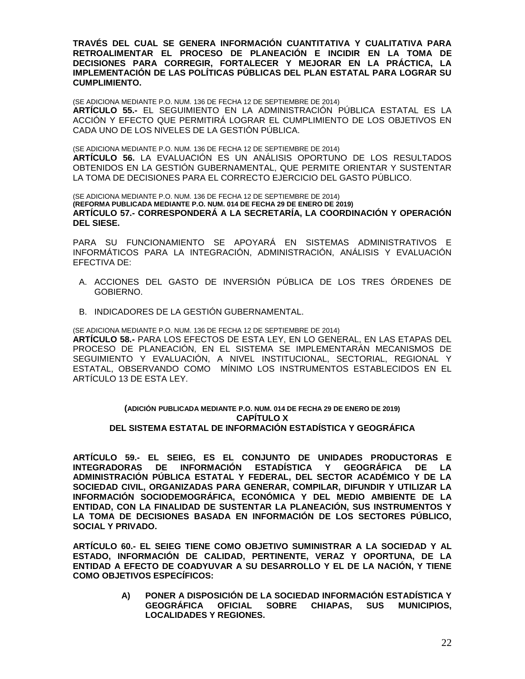**TRAVÉS DEL CUAL SE GENERA INFORMACIÓN CUANTITATIVA Y CUALITATIVA PARA RETROALIMENTAR EL PROCESO DE PLANEACIÓN E INCIDIR EN LA TOMA DE DECISIONES PARA CORREGIR, FORTALECER Y MEJORAR EN LA PRÁCTICA, LA IMPLEMENTACIÓN DE LAS POLÍTICAS PÚBLICAS DEL PLAN ESTATAL PARA LOGRAR SU CUMPLIMIENTO.**

(SE ADICIONA MEDIANTE P.O. NUM. 136 DE FECHA 12 DE SEPTIEMBRE DE 2014) **ARTÍCULO 55.-** EL SEGUIMIENTO EN LA ADMINISTRACIÓN PÚBLICA ESTATAL ES LA ACCIÓN Y EFECTO QUE PERMITIRÁ LOGRAR EL CUMPLIMIENTO DE LOS OBJETIVOS EN CADA UNO DE LOS NIVELES DE LA GESTIÓN PÚBLICA.

(SE ADICIONA MEDIANTE P.O. NUM. 136 DE FECHA 12 DE SEPTIEMBRE DE 2014) **ARTÍCULO 56.** LA EVALUACIÓN ES UN ANÁLISIS OPORTUNO DE LOS RESULTADOS OBTENIDOS EN LA GESTIÓN GUBERNAMENTAL, QUE PERMITE ORIENTAR Y SUSTENTAR LA TOMA DE DECISIONES PARA EL CORRECTO EJERCICIO DEL GASTO PÚBLICO.

(SE ADICIONA MEDIANTE P.O. NUM. 136 DE FECHA 12 DE SEPTIEMBRE DE 2014) **(REFORMA PUBLICADA MEDIANTE P.O. NUM. 014 DE FECHA 29 DE ENERO DE 2019) ARTÍCULO 57.- CORRESPONDERÁ A LA SECRETARÍA, LA COORDINACIÓN Y OPERACIÓN DEL SIESE.**

PARA SU FUNCIONAMIENTO SE APOYARÁ EN SISTEMAS ADMINISTRATIVOS E INFORMÁTICOS PARA LA INTEGRACIÓN, ADMINISTRACIÓN, ANÁLISIS Y EVALUACIÓN EFECTIVA DE:

- A. ACCIONES DEL GASTO DE INVERSIÓN PÚBLICA DE LOS TRES ÓRDENES DE GOBIERNO.
- B. INDICADORES DE LA GESTIÓN GUBERNAMENTAL.

(SE ADICIONA MEDIANTE P.O. NUM. 136 DE FECHA 12 DE SEPTIEMBRE DE 2014) **ARTÍCULO 58.-** PARA LOS EFECTOS DE ESTA LEY, EN LO GENERAL, EN LAS ETAPAS DEL PROCESO DE PLANEACIÓN, EN EL SISTEMA SE IMPLEMENTARÁN MECANISMOS DE SEGUIMIENTO Y EVALUACIÓN, A NIVEL INSTITUCIONAL, SECTORIAL, REGIONAL Y ESTATAL, OBSERVANDO COMO MÍNIMO LOS INSTRUMENTOS ESTABLECIDOS EN EL ARTÍCULO 13 DE ESTA LEY.

### **(ADICIÓN PUBLICADA MEDIANTE P.O. NUM. 014 DE FECHA 29 DE ENERO DE 2019) CAPÍTULO X DEL SISTEMA ESTATAL DE INFORMACIÓN ESTADÍSTICA Y GEOGRÁFICA**

**ARTÍCULO 59.- EL SEIEG, ES EL CONJUNTO DE UNIDADES PRODUCTORAS E INTEGRADORAS DE INFORMACIÓN ESTADÍSTICA Y GEOGRÁFICA DE LA ADMINISTRACIÓN PÚBLICA ESTATAL Y FEDERAL, DEL SECTOR ACADÉMICO Y DE LA SOCIEDAD CIVIL, ORGANIZADAS PARA GENERAR, COMPILAR, DIFUNDIR Y UTILIZAR LA INFORMACIÓN SOCIODEMOGRÁFICA, ECONÓMICA Y DEL MEDIO AMBIENTE DE LA ENTIDAD, CON LA FINALIDAD DE SUSTENTAR LA PLANEACIÓN, SUS INSTRUMENTOS Y LA TOMA DE DECISIONES BASADA EN INFORMACIÓN DE LOS SECTORES PÚBLICO, SOCIAL Y PRIVADO.**

**ARTÍCULO 60.- EL SEIEG TIENE COMO OBJETIVO SUMINISTRAR A LA SOCIEDAD Y AL ESTADO, INFORMACIÓN DE CALIDAD, PERTINENTE, VERAZ Y OPORTUNA, DE LA ENTIDAD A EFECTO DE COADYUVAR A SU DESARROLLO Y EL DE LA NACIÓN, Y TIENE COMO OBJETIVOS ESPECÍFICOS:**

> **A) PONER A DISPOSICIÓN DE LA SOCIEDAD INFORMACIÓN ESTADÍSTICA Y GEOGRÁFICA OFICIAL SOBRE CHIAPAS, SUS MUNICIPIOS, LOCALIDADES Y REGIONES.**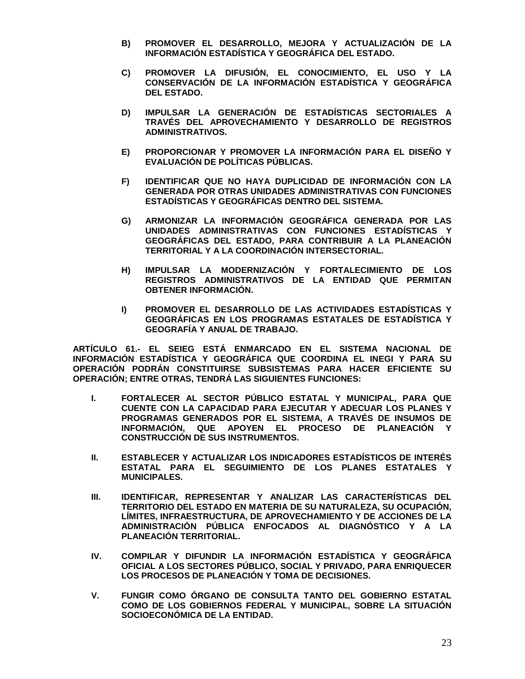- **B) PROMOVER EL DESARROLLO, MEJORA Y ACTUALIZACIÓN DE LA INFORMACIÓN ESTADÍSTICA Y GEOGRÁFICA DEL ESTADO.**
- **C) PROMOVER LA DIFUSIÓN, EL CONOCIMIENTO, EL USO Y LA CONSERVACIÓN DE LA INFORMACIÓN ESTADÍSTICA Y GEOGRÁFICA DEL ESTADO.**
- **D) IMPULSAR LA GENERACIÓN DE ESTADÍSTICAS SECTORIALES A TRAVÉS DEL APROVECHAMIENTO Y DESARROLLO DE REGISTROS ADMINISTRATIVOS.**
- **E) PROPORCIONAR Y PROMOVER LA INFORMACIÓN PARA EL DISEÑO Y EVALUACIÓN DE POLÍTICAS PÚBLICAS.**
- **F) IDENTIFICAR QUE NO HAYA DUPLICIDAD DE INFORMACIÓN CON LA GENERADA POR OTRAS UNIDADES ADMINISTRATIVAS CON FUNCIONES ESTADÍSTICAS Y GEOGRÁFICAS DENTRO DEL SISTEMA.**
- **G) ARMONIZAR LA INFORMACIÓN GEOGRÁFICA GENERADA POR LAS UNIDADES ADMINISTRATIVAS CON FUNCIONES ESTADÍSTICAS Y GEOGRÁFICAS DEL ESTADO, PARA CONTRIBUIR A LA PLANEACIÓN TERRITORIAL Y A LA COORDINACIÓN INTERSECTORIAL.**
- **H) IMPULSAR LA MODERNIZACIÓN Y FORTALECIMIENTO DE LOS REGISTROS ADMINISTRATIVOS DE LA ENTIDAD QUE PERMITAN OBTENER INFORMACIÓN.**
- **I) PROMOVER EL DESARROLLO DE LAS ACTIVIDADES ESTADÍSTICAS Y GEOGRÁFICAS EN LOS PROGRAMAS ESTATALES DE ESTADÍSTICA Y GEOGRAFÍA Y ANUAL DE TRABAJO.**

**ARTÍCULO 61.- EL SEIEG ESTÁ ENMARCADO EN EL SISTEMA NACIONAL DE INFORMACIÓN ESTADÍSTICA Y GEOGRÁFICA QUE COORDINA EL INEGI Y PARA SU OPERACIÓN PODRÁN CONSTITUIRSE SUBSISTEMAS PARA HACER EFICIENTE SU OPERACIÓN; ENTRE OTRAS, TENDRÁ LAS SIGUIENTES FUNCIONES:**

- **I. FORTALECER AL SECTOR PÚBLICO ESTATAL Y MUNICIPAL, PARA QUE CUENTE CON LA CAPACIDAD PARA EJECUTAR Y ADECUAR LOS PLANES Y PROGRAMAS GENERADOS POR EL SISTEMA, A TRAVÉS DE INSUMOS DE INFORMACIÓN, QUE APOYEN EL PROCESO DE PLANEACIÓN Y CONSTRUCCIÓN DE SUS INSTRUMENTOS.**
- **II. ESTABLECER Y ACTUALIZAR LOS INDICADORES ESTADÍSTICOS DE INTERÉS ESTATAL PARA EL SEGUIMIENTO DE LOS PLANES ESTATALES Y MUNICIPALES.**
- **III. IDENTIFICAR, REPRESENTAR Y ANALIZAR LAS CARACTERÍSTICAS DEL TERRITORIO DEL ESTADO EN MATERIA DE SU NATURALEZA, SU OCUPACIÓN, LÍMITES, INFRAESTRUCTURA, DE APROVECHAMIENTO Y DE ACCIONES DE LA ADMINISTRACIÓN PÚBLICA ENFOCADOS AL DIAGNÓSTICO Y A LA PLANEACIÓN TERRITORIAL.**
- **IV. COMPILAR Y DIFUNDIR LA INFORMACIÓN ESTADÍSTICA Y GEOGRÁFICA OFICIAL A LOS SECTORES PÚBLICO, SOCIAL Y PRIVADO, PARA ENRIQUECER LOS PROCESOS DE PLANEACIÓN Y TOMA DE DECISIONES.**
- **V. FUNGIR COMO ÓRGANO DE CONSULTA TANTO DEL GOBIERNO ESTATAL COMO DE LOS GOBIERNOS FEDERAL Y MUNICIPAL, SOBRE LA SITUACIÓN SOCIOECONÓMICA DE LA ENTIDAD.**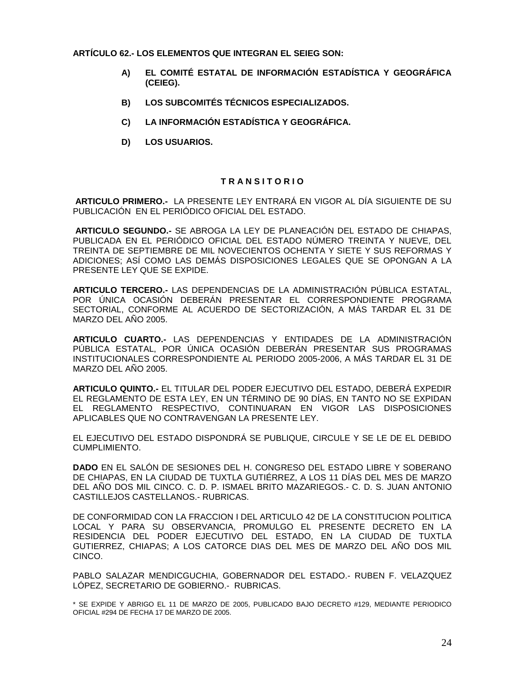**ARTÍCULO 62.- LOS ELEMENTOS QUE INTEGRAN EL SEIEG SON:**

- **A) EL COMITÉ ESTATAL DE INFORMACIÓN ESTADÍSTICA Y GEOGRÁFICA (CEIEG).**
- **B) LOS SUBCOMITÉS TÉCNICOS ESPECIALIZADOS.**
- **C) LA INFORMACIÓN ESTADÍSTICA Y GEOGRÁFICA.**
- **D) LOS USUARIOS.**

# **T R A N S I T O R I O**

**ARTICULO PRIMERO.-** LA PRESENTE LEY ENTRARÁ EN VIGOR AL DÍA SIGUIENTE DE SU PUBLICACIÓN EN EL PERIÓDICO OFICIAL DEL ESTADO.

**ARTICULO SEGUNDO.-** SE ABROGA LA LEY DE PLANEACIÓN DEL ESTADO DE CHIAPAS, PUBLICADA EN EL PERIÓDICO OFICIAL DEL ESTADO NÚMERO TREINTA Y NUEVE, DEL TREINTA DE SEPTIEMBRE DE MIL NOVECIENTOS OCHENTA Y SIETE Y SUS REFORMAS Y ADICIONES; ASÍ COMO LAS DEMÁS DISPOSICIONES LEGALES QUE SE OPONGAN A LA PRESENTE LEY QUE SE EXPIDE.

**ARTICULO TERCERO.-** LAS DEPENDENCIAS DE LA ADMINISTRACIÓN PÚBLICA ESTATAL, POR ÚNICA OCASIÓN DEBERÁN PRESENTAR EL CORRESPONDIENTE PROGRAMA SECTORIAL, CONFORME AL ACUERDO DE SECTORIZACIÓN, A MÁS TARDAR EL 31 DE MARZO DEL AÑO 2005.

**ARTICULO CUARTO.-** LAS DEPENDENCIAS Y ENTIDADES DE LA ADMINISTRACIÓN PÚBLICA ESTATAL, POR ÚNICA OCASIÓN DEBERÁN PRESENTAR SUS PROGRAMAS INSTITUCIONALES CORRESPONDIENTE AL PERIODO 2005-2006, A MÁS TARDAR EL 31 DE MARZO DEL AÑO 2005.

**ARTICULO QUINTO.-** EL TITULAR DEL PODER EJECUTIVO DEL ESTADO, DEBERÁ EXPEDIR EL REGLAMENTO DE ESTA LEY, EN UN TÉRMINO DE 90 DÍAS, EN TANTO NO SE EXPIDAN EL REGLAMENTO RESPECTIVO, CONTINUARAN EN VIGOR LAS DISPOSICIONES APLICABLES QUE NO CONTRAVENGAN LA PRESENTE LEY.

EL EJECUTIVO DEL ESTADO DISPONDRÁ SE PUBLIQUE, CIRCULE Y SE LE DE EL DEBIDO CUMPLIMIENTO.

**DADO** EN EL SALÓN DE SESIONES DEL H. CONGRESO DEL ESTADO LIBRE Y SOBERANO DE CHIAPAS, EN LA CIUDAD DE TUXTLA GUTIÉRREZ, A LOS 11 DÍAS DEL MES DE MARZO DEL AÑO DOS MIL CINCO. C. D. P. ISMAEL BRITO MAZARIEGOS.- C. D. S. JUAN ANTONIO CASTILLEJOS CASTELLANOS.- RUBRICAS.

DE CONFORMIDAD CON LA FRACCION I DEL ARTICULO 42 DE LA CONSTITUCION POLITICA LOCAL Y PARA SU OBSERVANCIA, PROMULGO EL PRESENTE DECRETO EN LA RESIDENCIA DEL PODER EJECUTIVO DEL ESTADO, EN LA CIUDAD DE TUXTLA GUTIERREZ, CHIAPAS; A LOS CATORCE DIAS DEL MES DE MARZO DEL AÑO DOS MIL CINCO.

PABLO SALAZAR MENDICGUCHIA, GOBERNADOR DEL ESTADO.- RUBEN F. VELAZQUEZ LÓPEZ, SECRETARIO DE GOBIERNO.- RUBRICAS.

<sup>\*</sup> SE EXPIDE Y ABRIGO EL 11 DE MARZO DE 2005, PUBLICADO BAJO DECRETO #129, MEDIANTE PERIODICO OFICIAL #294 DE FECHA 17 DE MARZO DE 2005.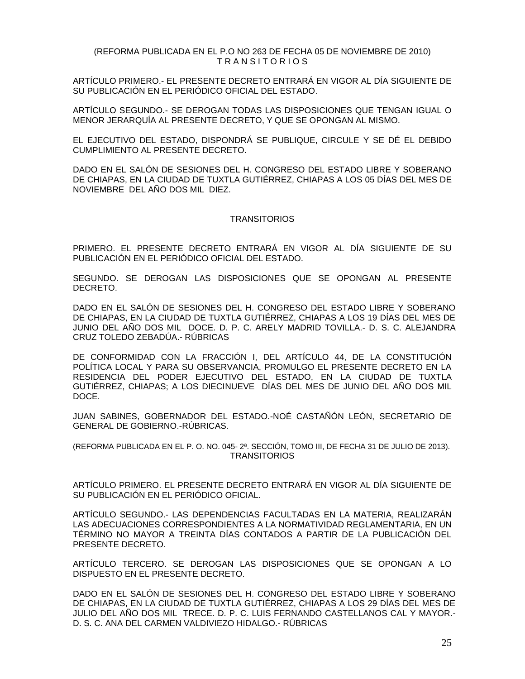### (REFORMA PUBLICADA EN EL P.O NO 263 DE FECHA 05 DE NOVIEMBRE DE 2010) T R A N S I T O R I O S

ARTÍCULO PRIMERO.- EL PRESENTE DECRETO ENTRARÁ EN VIGOR AL DÍA SIGUIENTE DE SU PUBLICACIÓN EN EL PERIÓDICO OFICIAL DEL ESTADO.

ARTÍCULO SEGUNDO.- SE DEROGAN TODAS LAS DISPOSICIONES QUE TENGAN IGUAL O MENOR JERARQUÍA AL PRESENTE DECRETO, Y QUE SE OPONGAN AL MISMO.

EL EJECUTIVO DEL ESTADO, DISPONDRÁ SE PUBLIQUE, CIRCULE Y SE DÉ EL DEBIDO CUMPLIMIENTO AL PRESENTE DECRETO.

DADO EN EL SALÓN DE SESIONES DEL H. CONGRESO DEL ESTADO LIBRE Y SOBERANO DE CHIAPAS, EN LA CIUDAD DE TUXTLA GUTIÉRREZ, CHIAPAS A LOS 05 DÍAS DEL MES DE NOVIEMBRE DEL AÑO DOS MIL DIEZ.

### **TRANSITORIOS**

PRIMERO. EL PRESENTE DECRETO ENTRARÁ EN VIGOR AL DÍA SIGUIENTE DE SU PUBLICACIÓN EN EL PERIÓDICO OFICIAL DEL ESTADO.

SEGUNDO. SE DEROGAN LAS DISPOSICIONES QUE SE OPONGAN AL PRESENTE DECRETO.

DADO EN EL SALÓN DE SESIONES DEL H. CONGRESO DEL ESTADO LIBRE Y SOBERANO DE CHIAPAS, EN LA CIUDAD DE TUXTLA GUTIÉRREZ, CHIAPAS A LOS 19 DÍAS DEL MES DE JUNIO DEL AÑO DOS MIL DOCE. D. P. C. ARELY MADRID TOVILLA.- D. S. C. ALEJANDRA CRUZ TOLEDO ZEBADÚA.- RÚBRICAS

DE CONFORMIDAD CON LA FRACCIÓN I, DEL ARTÍCULO 44, DE LA CONSTITUCIÓN POLÍTICA LOCAL Y PARA SU OBSERVANCIA, PROMULGO EL PRESENTE DECRETO EN LA RESIDENCIA DEL PODER EJECUTIVO DEL ESTADO, EN LA CIUDAD DE TUXTLA GUTIÉRREZ, CHIAPAS; A LOS DIECINUEVE DÍAS DEL MES DE JUNIO DEL AÑO DOS MIL DOCE.

JUAN SABINES, GOBERNADOR DEL ESTADO.-NOÉ CASTAÑÓN LEÓN, SECRETARIO DE GENERAL DE GOBIERNO.-RÚBRICAS.

(REFORMA PUBLICADA EN EL P. O. NO. 045- 2ª. SECCIÓN, TOMO III, DE FECHA 31 DE JULIO DE 2013). **TRANSITORIOS** 

ARTÍCULO PRIMERO. EL PRESENTE DECRETO ENTRARÁ EN VIGOR AL DÍA SIGUIENTE DE SU PUBLICACIÓN EN EL PERIÓDICO OFICIAL.

ARTÍCULO SEGUNDO.- LAS DEPENDENCIAS FACULTADAS EN LA MATERIA, REALIZARÁN LAS ADECUACIONES CORRESPONDIENTES A LA NORMATIVIDAD REGLAMENTARIA, EN UN TÉRMINO NO MAYOR A TREINTA DÍAS CONTADOS A PARTIR DE LA PUBLICACIÓN DEL PRESENTE DECRETO.

ARTÍCULO TERCERO. SE DEROGAN LAS DISPOSICIONES QUE SE OPONGAN A LO DISPUESTO EN EL PRESENTE DECRETO.

DADO EN EL SALÓN DE SESIONES DEL H. CONGRESO DEL ESTADO LIBRE Y SOBERANO DE CHIAPAS, EN LA CIUDAD DE TUXTLA GUTIÉRREZ, CHIAPAS A LOS 29 DÍAS DEL MES DE JULIO DEL AÑO DOS MIL TRECE. D. P. C. LUIS FERNANDO CASTELLANOS CAL Y MAYOR.- D. S. C. ANA DEL CARMEN VALDIVIEZO HIDALGO.- RÚBRICAS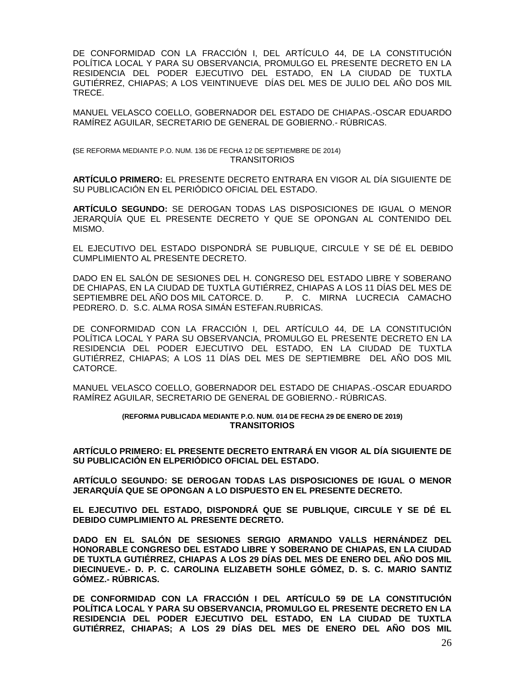DE CONFORMIDAD CON LA FRACCIÓN I, DEL ARTÍCULO 44, DE LA CONSTITUCIÓN POLÍTICA LOCAL Y PARA SU OBSERVANCIA, PROMULGO EL PRESENTE DECRETO EN LA RESIDENCIA DEL PODER EJECUTIVO DEL ESTADO, EN LA CIUDAD DE TUXTLA GUTIÉRREZ, CHIAPAS; A LOS VEINTINUEVE DÍAS DEL MES DE JULIO DEL AÑO DOS MIL TRECE.

MANUEL VELASCO COELLO, GOBERNADOR DEL ESTADO DE CHIAPAS.-OSCAR EDUARDO RAMÍREZ AGUILAR, SECRETARIO DE GENERAL DE GOBIERNO.- RÚBRICAS.

**(**SE REFORMA MEDIANTE P.O. NUM. 136 DE FECHA 12 DE SEPTIEMBRE DE 2014) TRANSITORIOS

**ARTÍCULO PRIMERO:** EL PRESENTE DECRETO ENTRARA EN VIGOR AL DÍA SIGUIENTE DE SU PUBLICACIÓN EN EL PERIÓDICO OFICIAL DEL ESTADO.

**ARTÍCULO SEGUNDO:** SE DEROGAN TODAS LAS DISPOSICIONES DE IGUAL O MENOR JERARQUÍA QUE EL PRESENTE DECRETO Y QUE SE OPONGAN AL CONTENIDO DEL MISMO.

EL EJECUTIVO DEL ESTADO DISPONDRÁ SE PUBLIQUE, CIRCULE Y SE DÉ EL DEBIDO CUMPLIMIENTO AL PRESENTE DECRETO.

DADO EN EL SALÓN DE SESIONES DEL H. CONGRESO DEL ESTADO LIBRE Y SOBERANO DE CHIAPAS, EN LA CIUDAD DE TUXTLA GUTIÉRREZ, CHIAPAS A LOS 11 DÍAS DEL MES DE SEPTIEMBRE DEL AÑO DOS MIL CATORCE. D. P. C. MIRNA LUCRECIA CAMACHO PEDRERO. D. S.C. ALMA ROSA SIMÁN ESTEFAN.RUBRICAS.

DE CONFORMIDAD CON LA FRACCIÓN I, DEL ARTÍCULO 44, DE LA CONSTITUCIÓN POLÍTICA LOCAL Y PARA SU OBSERVANCIA, PROMULGO EL PRESENTE DECRETO EN LA RESIDENCIA DEL PODER EJECUTIVO DEL ESTADO, EN LA CIUDAD DE TUXTLA GUTIÉRREZ, CHIAPAS; A LOS 11 DÍAS DEL MES DE SEPTIEMBRE DEL AÑO DOS MIL CATORCE.

MANUEL VELASCO COELLO, GOBERNADOR DEL ESTADO DE CHIAPAS.-OSCAR EDUARDO RAMÍREZ AGUILAR, SECRETARIO DE GENERAL DE GOBIERNO.- RÚBRICAS.

#### **(REFORMA PUBLICADA MEDIANTE P.O. NUM. 014 DE FECHA 29 DE ENERO DE 2019) TRANSITORIOS**

**ARTÍCULO PRIMERO: EL PRESENTE DECRETO ENTRARÁ EN VIGOR AL DÍA SIGUIENTE DE SU PUBLICACIÓN EN ELPERIÓDICO OFICIAL DEL ESTADO.**

**ARTÍCULO SEGUNDO: SE DEROGAN TODAS LAS DISPOSICIONES DE IGUAL O MENOR JERARQUÍA QUE SE OPONGAN A LO DISPUESTO EN EL PRESENTE DECRETO.**

**EL EJECUTIVO DEL ESTADO, DISPONDRÁ QUE SE PUBLIQUE, CIRCULE Y SE DÉ EL DEBIDO CUMPLIMIENTO AL PRESENTE DECRETO.**

**DADO EN EL SALÓN DE SESIONES SERGIO ARMANDO VALLS HERNÁNDEZ DEL HONORABLE CONGRESO DEL ESTADO LIBRE Y SOBERANO DE CHIAPAS, EN LA CIUDAD DE TUXTLA GUTIÉRREZ, CHIAPAS A LOS 29 DÍAS DEL MES DE ENERO DEL AÑO DOS MIL DIECINUEVE.- D. P. C. CAROLINA ELIZABETH SOHLE GÓMEZ, D. S. C. MARIO SANTIZ GÓMEZ.- RÚBRICAS.**

**DE CONFORMIDAD CON LA FRACCIÓN I DEL ARTÍCULO 59 DE LA CONSTITUCIÓN POLÍTICA LOCAL Y PARA SU OBSERVANCIA, PROMULGO EL PRESENTE DECRETO EN LA RESIDENCIA DEL PODER EJECUTIVO DEL ESTADO, EN LA CIUDAD DE TUXTLA GUTIÉRREZ, CHIAPAS; A LOS 29 DÍAS DEL MES DE ENERO DEL AÑO DOS MIL**